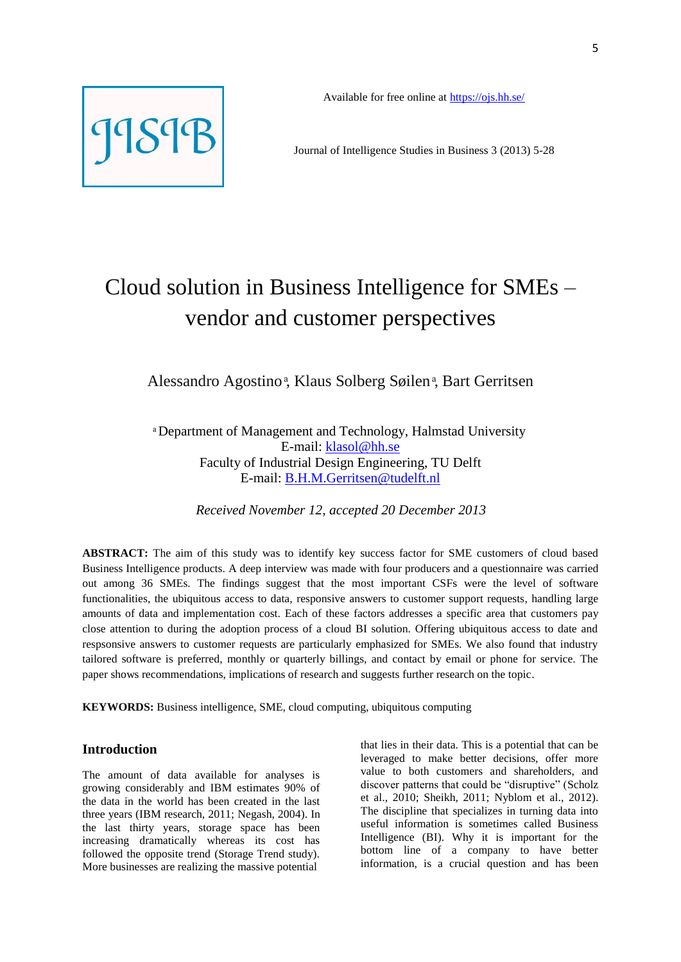

Journal of Intelligence Studies in Business 3 (2013) 5-28

# Cloud solution in Business Intelligence for SMEs – vendor and customer perspectives

Alessandro Agostino<sup>a</sup>, Klaus Solberg Søilen<sup>a</sup>, Bart Gerritsen

 Department of Management and Technology, Halmstad University E-mail: [klasol@hh.se](mailto:klasol@hh.se) Faculty of Industrial Design Engineering, TU Delft E-mail: [B.H.M.Gerritsen@tudelft.nl](mailto:B.H.M.Gerritsen@tudelft.nl)

*Received November 12, accepted 20 December 2013*

**ABSTRACT:** The aim of this study was to identify key success factor for SME customers of cloud based Business Intelligence products. A deep interview was made with four producers and a questionnaire was carried out among 36 SMEs. The findings suggest that the most important CSFs were the level of software functionalities, the ubiquitous access to data, responsive answers to customer support requests, handling large amounts of data and implementation cost. Each of these factors addresses a specific area that customers pay close attention to during the adoption process of a cloud BI solution. Offering ubiquitous access to date and respsonsive answers to customer requests are particularly emphasized for SMEs. We also found that industry tailored software is preferred, monthly or quarterly billings, and contact by email or phone for service. The paper shows recommendations, implications of research and suggests further research on the topic.

**KEYWORDS:** Business intelligence, SME, cloud computing, ubiquitous computing

# **Introduction**

The amount of data available for analyses is growing considerably and IBM estimates 90% of the data in the world has been created in the last three years (IBM research, 2011; Negash, 2004). In the last thirty years, storage space has been increasing dramatically whereas its cost has followed the opposite trend (Storage Trend study). More businesses are realizing the massive potential

that lies in their data. This is a potential that can be leveraged to make better decisions, offer more value to both customers and shareholders, and discover patterns that could be "disruptive" (Scholz et al., 2010; Sheikh, 2011; Nyblom et al., 2012). The discipline that specializes in turning data into useful information is sometimes called Business Intelligence (BI). Why it is important for the bottom line of a company to have better information, is a crucial question and has been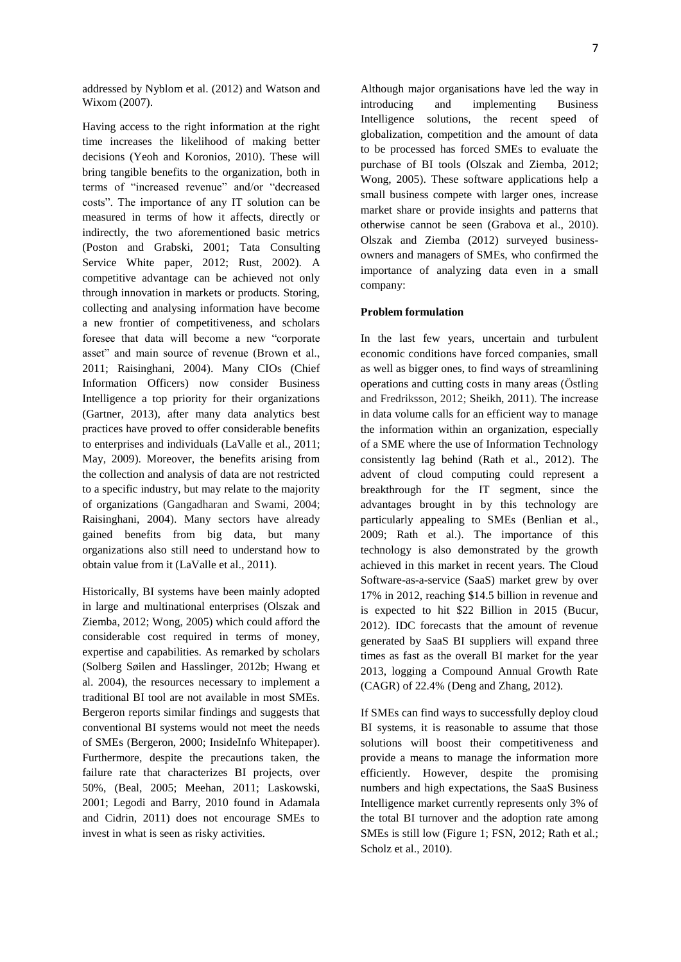addressed by Nyblom et al. (2012) and Watson and Wixom (2007).

Having access to the right information at the right time increases the likelihood of making better decisions (Yeoh and Koronios, 2010). These will bring tangible benefits to the organization, both in terms of "increased revenue" and/or "decreased costs". The importance of any IT solution can be measured in terms of how it affects, directly or indirectly, the two aforementioned basic metrics (Poston and Grabski, 2001; Tata Consulting Service White paper, 2012; Rust, 2002). A competitive advantage can be achieved not only through innovation in markets or products. Storing, collecting and analysing information have become a new frontier of competitiveness, and scholars foresee that data will become a new "corporate asset" and main source of revenue (Brown et al., 2011; Raisinghani, 2004). Many CIOs (Chief Information Officers) now consider Business Intelligence a top priority for their organizations (Gartner, 2013), after many data analytics best practices have proved to offer considerable benefits to enterprises and individuals (LaValle et al., 2011; May, 2009). Moreover, the benefits arising from the collection and analysis of data are not restricted to a specific industry, but may relate to the majority of organizations (Gangadharan and Swami, 2004; Raisinghani, 2004). Many sectors have already gained benefits from big data, but many organizations also still need to understand how to obtain value from it (LaValle et al., 2011).

Historically, BI systems have been mainly adopted in large and multinational enterprises (Olszak and Ziemba, 2012; Wong, 2005) which could afford the considerable cost required in terms of money, expertise and capabilities. As remarked by scholars (Solberg Søilen and Hasslinger, 2012b; Hwang et al. 2004), the resources necessary to implement a traditional BI tool are not available in most SMEs. Bergeron reports similar findings and suggests that conventional BI systems would not meet the needs of SMEs (Bergeron, 2000; InsideInfo Whitepaper). Furthermore, despite the precautions taken, the failure rate that characterizes BI projects, over 50%, (Beal, 2005; Meehan, 2011; Laskowski, 2001; Legodi and Barry, 2010 found in Adamala and Cidrin, 2011) does not encourage SMEs to invest in what is seen as risky activities.

Although major organisations have led the way in introducing and implementing Business Intelligence solutions, the recent speed of globalization, competition and the amount of data to be processed has forced SMEs to evaluate the purchase of BI tools (Olszak and Ziemba, 2012; Wong, 2005). These software applications help a small business compete with larger ones, increase market share or provide insights and patterns that otherwise cannot be seen (Grabova et al., 2010). Olszak and Ziemba (2012) surveyed businessowners and managers of SMEs, who confirmed the importance of analyzing data even in a small company:

## **Problem formulation**

In the last few years, uncertain and turbulent economic conditions have forced companies, small as well as bigger ones, to find ways of streamlining operations and cutting costs in many areas (Östling and Fredriksson, 2012; Sheikh, 2011). The increase in data volume calls for an efficient way to manage the information within an organization, especially of a SME where the use of Information Technology consistently lag behind (Rath et al., 2012). The advent of cloud computing could represent a breakthrough for the IT segment, since the advantages brought in by this technology are particularly appealing to SMEs (Benlian et al., 2009; Rath et al.). The importance of this technology is also demonstrated by the growth achieved in this market in recent years. The Cloud Software-as-a-service (SaaS) market grew by over 17% in 2012, reaching \$14.5 billion in revenue and is expected to hit \$22 Billion in 2015 (Bucur, 2012). IDC forecasts that the amount of revenue generated by SaaS BI suppliers will expand three times as fast as the overall BI market for the year 2013, logging a Compound Annual Growth Rate (CAGR) of 22.4% (Deng and Zhang, 2012).

If SMEs can find ways to successfully deploy cloud BI systems, it is reasonable to assume that those solutions will boost their competitiveness and provide a means to manage the information more efficiently. However, despite the promising numbers and high expectations, the SaaS Business Intelligence market currently represents only 3% of the total BI turnover and the adoption rate among SMEs is still low (Figure 1; FSN, 2012; Rath et al.; Scholz et al., 2010).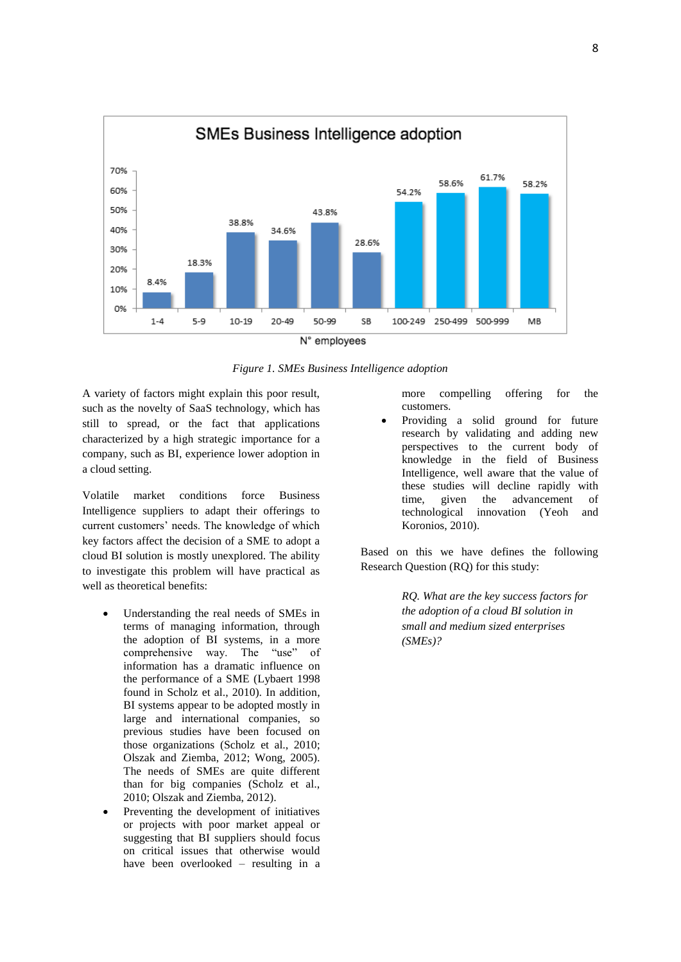

N° employees

*Figure 1. SMEs Business Intelligence adoption*

A variety of factors might explain this poor result, such as the novelty of SaaS technology, which has still to spread, or the fact that applications characterized by a high strategic importance for a company, such as BI, experience lower adoption in a cloud setting.

Volatile market conditions force Business Intelligence suppliers to adapt their offerings to current customers' needs. The knowledge of which key factors affect the decision of a SME to adopt a cloud BI solution is mostly unexplored. The ability to investigate this problem will have practical as well as theoretical benefits:

- Understanding the real needs of SMEs in terms of managing information, through the adoption of BI systems, in a more comprehensive way. The "use" of information has a dramatic influence on the performance of a SME (Lybaert 1998 found in Scholz et al., 2010). In addition, BI systems appear to be adopted mostly in large and international companies, so previous studies have been focused on those organizations (Scholz et al., 2010; Olszak and Ziemba, 2012; Wong, 2005). The needs of SMEs are quite different than for big companies (Scholz et al., 2010; Olszak and Ziemba, 2012).
- Preventing the development of initiatives or projects with poor market appeal or suggesting that BI suppliers should focus on critical issues that otherwise would have been overlooked – resulting in a

more compelling offering for the customers.

 Providing a solid ground for future research by validating and adding new perspectives to the current body of knowledge in the field of Business Intelligence, well aware that the value of these studies will decline rapidly with time, given the advancement of technological innovation (Yeoh and Koronios, 2010).

Based on this we have defines the following Research Question (RQ) for this study:

> *RQ. What are the key success factors for the adoption of a cloud BI solution in small and medium sized enterprises (SMEs)?*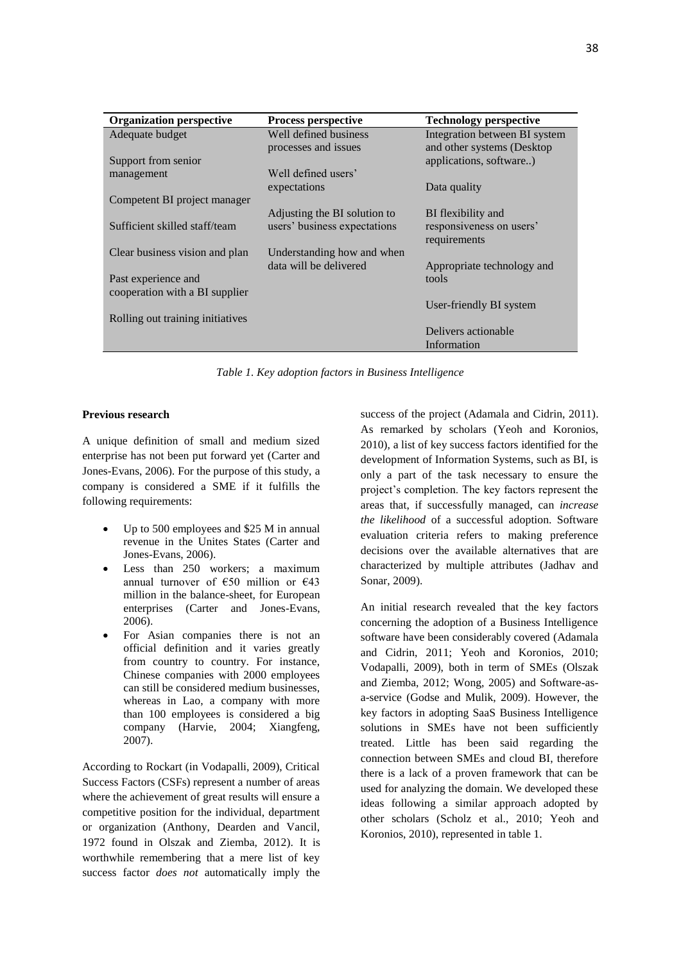| <b>Organization perspective</b>  | <b>Process perspective</b>   | <b>Technology perspective</b> |
|----------------------------------|------------------------------|-------------------------------|
| Adequate budget                  | Well defined business        | Integration between BI system |
|                                  | processes and issues         | and other systems (Desktop    |
| Support from senior              |                              | applications, software)       |
| management                       | Well defined users'          |                               |
|                                  | expectations                 | Data quality                  |
| Competent BI project manager     |                              |                               |
|                                  | Adjusting the BI solution to | BI flexibility and            |
| Sufficient skilled staff/team    | users' business expectations | responsiveness on users'      |
|                                  |                              | requirements                  |
| Clear business vision and plan   | Understanding how and when   |                               |
|                                  | data will be delivered       | Appropriate technology and    |
| Past experience and              |                              | tools                         |
| cooperation with a BI supplier   |                              |                               |
|                                  |                              | User-friendly BI system       |
| Rolling out training initiatives |                              |                               |
|                                  |                              | Delivers actionable           |
|                                  |                              | Information                   |

*Table 1. Key adoption factors in Business Intelligence*

## **Previous research**

A unique definition of small and medium sized enterprise has not been put forward yet (Carter and Jones-Evans, 2006). For the purpose of this study, a company is considered a SME if it fulfills the following requirements:

- Up to 500 employees and \$25 M in annual revenue in the Unites States (Carter and Jones-Evans, 2006).
- Less than 250 workers; a maximum annual turnover of  $\epsilon$ 50 million or  $\epsilon$ 43 million in the balance-sheet, for European enterprises (Carter and Jones-Evans, 2006).
- For Asian companies there is not an official definition and it varies greatly from country to country. For instance, Chinese companies with 2000 employees can still be considered medium businesses, whereas in Lao, a company with more than 100 employees is considered a big company (Harvie, 2004; Xiangfeng, 2007).

According to Rockart (in Vodapalli, 2009), Critical Success Factors (CSFs) represent a number of areas where the achievement of great results will ensure a competitive position for the individual, department or organization (Anthony, Dearden and Vancil, 1972 found in Olszak and Ziemba, 2012). It is worthwhile remembering that a mere list of key success factor *does not* automatically imply the success of the project (Adamala and Cidrin, 2011). As remarked by scholars (Yeoh and Koronios, 2010), a list of key success factors identified for the development of Information Systems, such as BI, is only a part of the task necessary to ensure the project's completion. The key factors represent the areas that, if successfully managed, can *increase the likelihood* of a successful adoption. Software evaluation criteria refers to making preference decisions over the available alternatives that are characterized by multiple attributes (Jadhav and Sonar, 2009).

An initial research revealed that the key factors concerning the adoption of a Business Intelligence software have been considerably covered (Adamala and Cidrin, 2011; Yeoh and Koronios, 2010; Vodapalli, 2009), both in term of SMEs (Olszak and Ziemba, 2012; Wong, 2005) and Software-asa-service (Godse and Mulik, 2009). However, the key factors in adopting SaaS Business Intelligence solutions in SMEs have not been sufficiently treated. Little has been said regarding the connection between SMEs and cloud BI, therefore there is a lack of a proven framework that can be used for analyzing the domain. We developed these ideas following a similar approach adopted by other scholars (Scholz et al., 2010; Yeoh and Koronios, 2010), represented in table 1.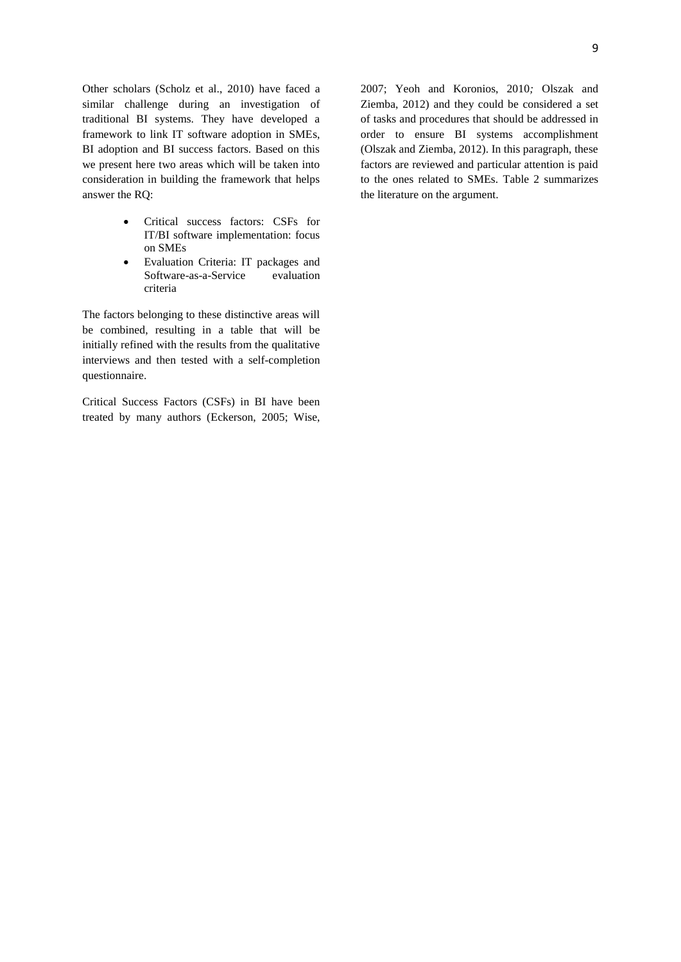Other scholars (Scholz et al., 2010) have faced a similar challenge during an investigation of traditional BI systems. They have developed a framework to link IT software adoption in SMEs, BI adoption and BI success factors. Based on this we present here two areas which will be taken into consideration in building the framework that helps answer the RQ:

- Critical success factors: CSFs for IT/BI software implementation: focus on SMEs
- Evaluation Criteria: IT packages and Software-as-a-Service evaluation criteria

The factors belonging to these distinctive areas will be combined, resulting in a table that will be initially refined with the results from the qualitative interviews and then tested with a self-completion questionnaire.

Critical Success Factors (CSFs) in BI have been treated by many authors (Eckerson, 2005; Wise, 2007; Yeoh and Koronios, 2010*;* Olszak and Ziemba, 2012) and they could be considered a set of tasks and procedures that should be addressed in order to ensure BI systems accomplishment (Olszak and Ziemba, 2012). In this paragraph, these factors are reviewed and particular attention is paid to the ones related to SMEs. Table 2 summarizes the literature on the argument.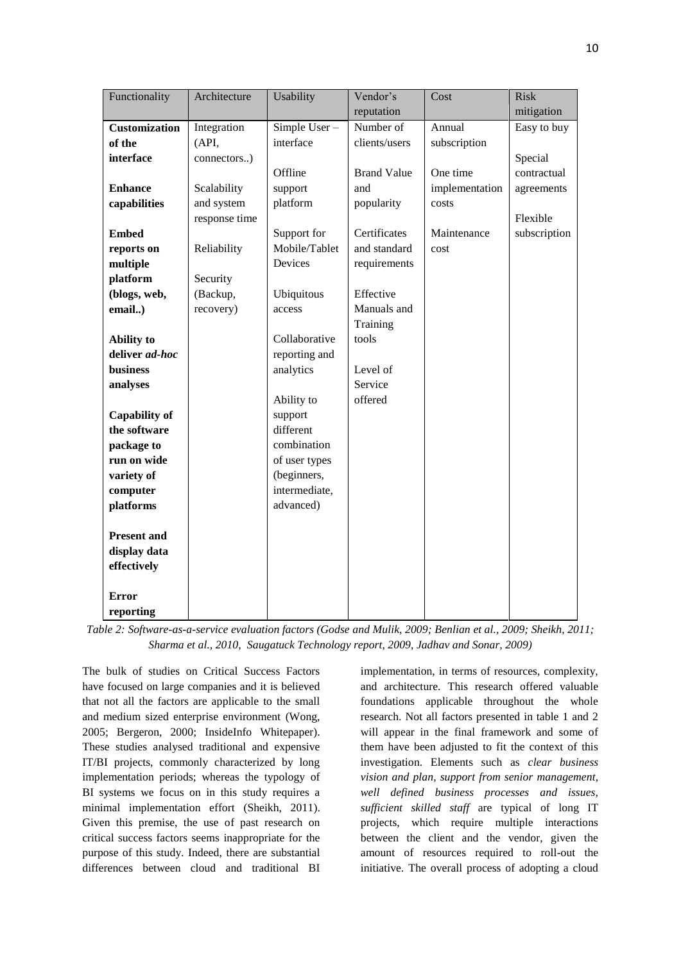| Functionality        | Architecture  | Usability     | Vendor's           | Cost           | <b>Risk</b>  |
|----------------------|---------------|---------------|--------------------|----------------|--------------|
|                      |               |               | reputation         |                | mitigation   |
| <b>Customization</b> | Integration   | Simple User-  | Number of          | Annual         | Easy to buy  |
| of the               | (API,         | interface     | clients/users      | subscription   |              |
| interface            | connectors)   |               |                    |                | Special      |
|                      |               | Offline       | <b>Brand Value</b> | One time       | contractual  |
| <b>Enhance</b>       | Scalability   | support       | and                | implementation | agreements   |
| capabilities         | and system    | platform      | popularity         | costs          |              |
|                      | response time |               |                    |                | Flexible     |
| <b>Embed</b>         |               | Support for   | Certificates       | Maintenance    | subscription |
| reports on           | Reliability   | Mobile/Tablet | and standard       | cost           |              |
| multiple             |               | Devices       | requirements       |                |              |
| platform             | Security      |               |                    |                |              |
| (blogs, web,         | (Backup,      | Ubiquitous    | Effective          |                |              |
| email)               | recovery)     | access        | Manuals and        |                |              |
|                      |               |               | Training           |                |              |
| <b>Ability</b> to    |               | Collaborative | tools              |                |              |
| deliver ad-hoc       |               | reporting and |                    |                |              |
| business             |               | analytics     | Level of           |                |              |
| analyses             |               |               | Service            |                |              |
|                      |               | Ability to    | offered            |                |              |
| <b>Capability of</b> |               | support       |                    |                |              |
| the software         |               | different     |                    |                |              |
| package to           |               | combination   |                    |                |              |
| run on wide          |               | of user types |                    |                |              |
| variety of           |               | (beginners,   |                    |                |              |
| computer             |               | intermediate, |                    |                |              |
| platforms            |               | advanced)     |                    |                |              |
|                      |               |               |                    |                |              |
| <b>Present and</b>   |               |               |                    |                |              |
| display data         |               |               |                    |                |              |
| effectively          |               |               |                    |                |              |
|                      |               |               |                    |                |              |
| <b>Error</b>         |               |               |                    |                |              |
| reporting            |               |               |                    |                |              |

*Table 2: Software-as-a-service evaluation factors (Godse and Mulik, 2009; Benlian et al., 2009; Sheikh, 2011; Sharma et al., 2010, Saugatuck Technology report, 2009, Jadhav and Sonar, 2009)*

The bulk of studies on Critical Success Factors have focused on large companies and it is believed that not all the factors are applicable to the small and medium sized enterprise environment (Wong, 2005; Bergeron, 2000; InsideInfo Whitepaper). These studies analysed traditional and expensive IT/BI projects, commonly characterized by long implementation periods; whereas the typology of BI systems we focus on in this study requires a minimal implementation effort (Sheikh, 2011). Given this premise, the use of past research on critical success factors seems inappropriate for the purpose of this study. Indeed, there are substantial differences between cloud and traditional BI

implementation, in terms of resources, complexity, and architecture. This research offered valuable foundations applicable throughout the whole research. Not all factors presented in table 1 and 2 will appear in the final framework and some of them have been adjusted to fit the context of this investigation. Elements such as *clear business vision and plan, support from senior management, well defined business processes and issues, sufficient skilled staff* are typical of long IT projects, which require multiple interactions between the client and the vendor, given the amount of resources required to roll-out the initiative. The overall process of adopting a cloud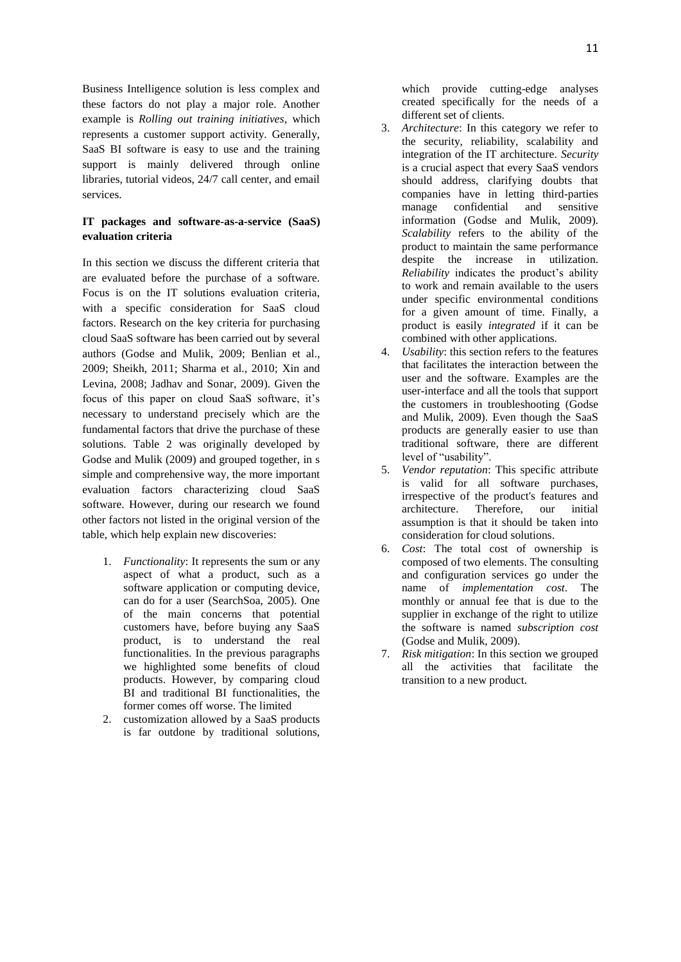Business Intelligence solution is less complex and these factors do not play a major role. Another example is *Rolling out training initiatives*, which represents a customer support activity. Generally, SaaS BI software is easy to use and the training support is mainly delivered through online libraries, tutorial videos, 24/7 call center, and email services.

## **IT packages and software-as-a-service (SaaS) evaluation criteria**

In this section we discuss the different criteria that are evaluated before the purchase of a software. Focus is on the IT solutions evaluation criteria, with a specific consideration for SaaS cloud factors. Research on the key criteria for purchasing cloud SaaS software has been carried out by several authors (Godse and Mulik, 2009; Benlian et al., 2009; Sheikh, 2011; Sharma et al., 2010; Xin and Levina, 2008; Jadhav and Sonar, 2009). Given the focus of this paper on cloud SaaS software, it's necessary to understand precisely which are the fundamental factors that drive the purchase of these solutions. Table 2 was originally developed by Godse and Mulik (2009) and grouped together, in s simple and comprehensive way, the more important evaluation factors characterizing cloud SaaS software. However, during our research we found other factors not listed in the original version of the table, which help explain new discoveries:

- 1. *Functionality*: It represents the sum or any aspect of what a product, such as a software application or computing device, can do for a user (SearchSoa, 2005). One of the main concerns that potential customers have, before buying any SaaS product, is to understand the real functionalities. In the previous paragraphs we highlighted some benefits of cloud products. However, by comparing cloud BI and traditional BI functionalities, the former comes off worse. The limited
- 2. customization allowed by a SaaS products is far outdone by traditional solutions,

which provide cutting-edge analyses created specifically for the needs of a different set of clients.

- 3. *Architecture*: In this category we refer to the security, reliability, scalability and integration of the IT architecture. *Security* is a crucial aspect that every SaaS vendors should address, clarifying doubts that companies have in letting third-parties manage confidential and sensitive information (Godse and Mulik, 2009). *Scalability* refers to the ability of the product to maintain the same performance despite the increase in utilization. *Reliability* indicates the product's ability to work and remain available to the users under specific environmental conditions for a given amount of time. Finally, a product is easily *integrated* if it can be combined with other applications.
- 4. *Usability*: this section refers to the features that facilitates the interaction between the user and the software. Examples are the user-interface and all the tools that support the customers in troubleshooting (Godse and Mulik, 2009). Even though the SaaS products are generally easier to use than traditional software, there are different level of "usability".
- 5. *Vendor reputation*: This specific attribute is valid for all software purchases, irrespective of the product's features and architecture. Therefore, our initial assumption is that it should be taken into consideration for cloud solutions.
- 6. *Cost*: The total cost of ownership is composed of two elements. The consulting and configuration services go under the name of *implementation cost*. The monthly or annual fee that is due to the supplier in exchange of the right to utilize the software is named *subscription cost* (Godse and Mulik, 2009).
- 7. *Risk mitigation*: In this section we grouped all the activities that facilitate the transition to a new product.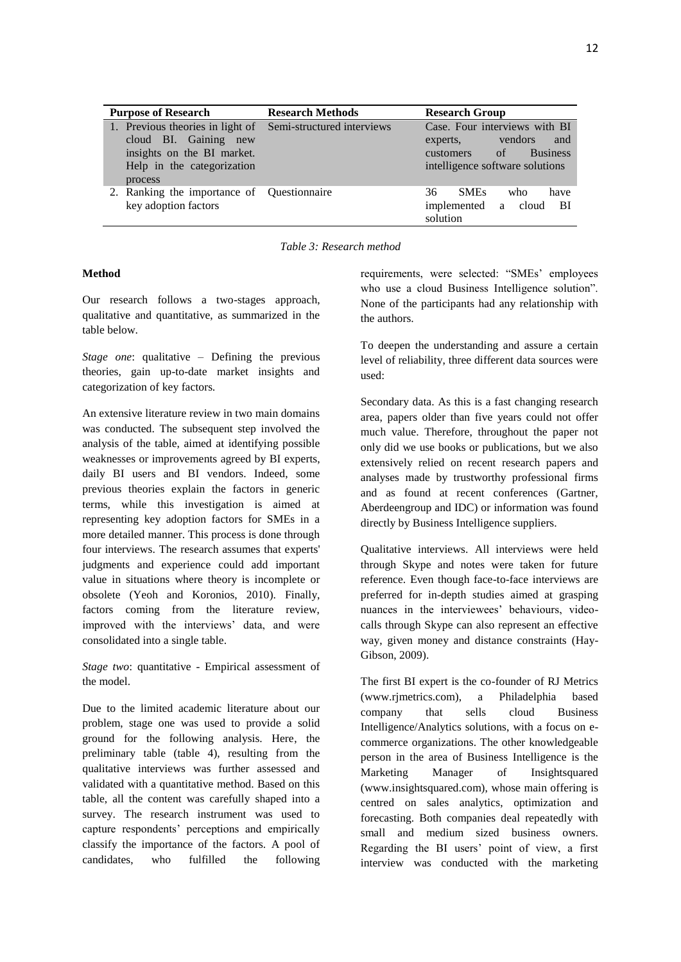| <b>Purpose of Research</b>                                                                                                                                  | <b>Research Methods</b> | <b>Research Group</b>                                                                                                   |
|-------------------------------------------------------------------------------------------------------------------------------------------------------------|-------------------------|-------------------------------------------------------------------------------------------------------------------------|
| 1. Previous theories in light of Semi-structured interviews<br>cloud BI. Gaining new<br>insights on the BI market.<br>Help in the categorization<br>process |                         | Case. Four interviews with BI<br>vendors<br>and<br>experts,<br>customers of Business<br>intelligence software solutions |
| 2. Ranking the importance of Questionnaire<br>key adoption factors                                                                                          |                         | <b>SMEs</b><br>36<br>who<br>have<br>implemented a cloud<br>– BI<br>solution                                             |

*Table 3: Research method*

## **Method**

Our research follows a two-stages approach, qualitative and quantitative, as summarized in the table below.

*Stage one*: qualitative – Defining the previous theories, gain up-to-date market insights and categorization of key factors*.*

An extensive literature review in two main domains was conducted. The subsequent step involved the analysis of the table, aimed at identifying possible weaknesses or improvements agreed by BI experts, daily BI users and BI vendors. Indeed, some previous theories explain the factors in generic terms, while this investigation is aimed at representing key adoption factors for SMEs in a more detailed manner. This process is done through four interviews. The research assumes that experts' judgments and experience could add important value in situations where theory is incomplete or obsolete (Yeoh and Koronios, 2010). Finally, factors coming from the literature review, improved with the interviews' data, and were consolidated into a single table.

*Stage two*: quantitative - Empirical assessment of the model.

Due to the limited academic literature about our problem, stage one was used to provide a solid ground for the following analysis. Here, the preliminary table (table 4), resulting from the qualitative interviews was further assessed and validated with a quantitative method. Based on this table, all the content was carefully shaped into a survey. The research instrument was used to capture respondents' perceptions and empirically classify the importance of the factors. A pool of candidates, who fulfilled the following

requirements, were selected: "SMEs' employees who use a cloud Business Intelligence solution". None of the participants had any relationship with the authors.

To deepen the understanding and assure a certain level of reliability, three different data sources were used:

Secondary data. As this is a fast changing research area, papers older than five years could not offer much value. Therefore, throughout the paper not only did we use books or publications, but we also extensively relied on recent research papers and analyses made by trustworthy professional firms and as found at recent conferences (Gartner, Aberdeengroup and IDC) or information was found directly by Business Intelligence suppliers.

Qualitative interviews. All interviews were held through Skype and notes were taken for future reference. Even though face-to-face interviews are preferred for in-depth studies aimed at grasping nuances in the interviewees' behaviours, videocalls through Skype can also represent an effective way, given money and distance constraints (Hay-Gibson, 2009).

The first BI expert is the co-founder of RJ Metrics (www.rjmetrics.com), a Philadelphia based company that sells cloud Business Intelligence/Analytics solutions, with a focus on ecommerce organizations. The other knowledgeable person in the area of Business Intelligence is the Marketing Manager of Insightsquared (www.insightsquared.com), whose main offering is centred on sales analytics, optimization and forecasting. Both companies deal repeatedly with small and medium sized business owners. Regarding the BI users' point of view, a first interview was conducted with the marketing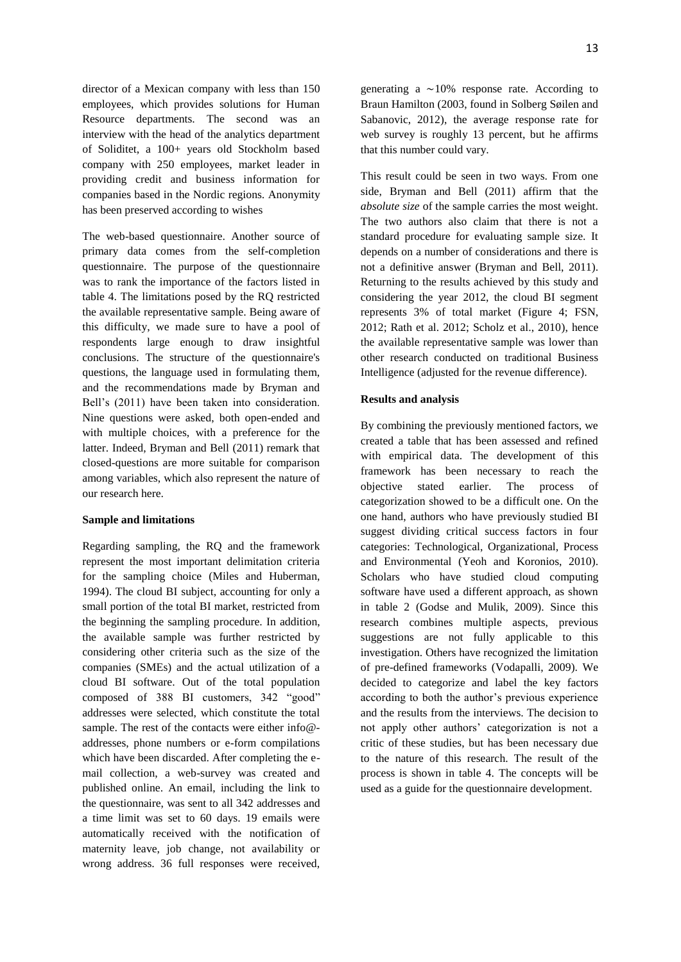director of a Mexican company with less than 150 employees, which provides solutions for Human Resource departments. The second was an interview with the head of the analytics department of Soliditet, a 100+ years old Stockholm based company with 250 employees, market leader in providing credit and business information for companies based in the Nordic regions. Anonymity has been preserved according to wishes

The web-based questionnaire. Another source of primary data comes from the self-completion questionnaire. The purpose of the questionnaire was to rank the importance of the factors listed in table 4. The limitations posed by the RQ restricted the available representative sample. Being aware of this difficulty, we made sure to have a pool of respondents large enough to draw insightful conclusions. The structure of the questionnaire's questions, the language used in formulating them, and the recommendations made by Bryman and Bell's (2011) have been taken into consideration. Nine questions were asked, both open-ended and with multiple choices, with a preference for the latter. Indeed, Bryman and Bell (2011) remark that closed-questions are more suitable for comparison among variables, which also represent the nature of our research here.

## **Sample and limitations**

Regarding sampling, the RQ and the framework represent the most important delimitation criteria for the sampling choice (Miles and Huberman, 1994). The cloud BI subject, accounting for only a small portion of the total BI market, restricted from the beginning the sampling procedure. In addition, the available sample was further restricted by considering other criteria such as the size of the companies (SMEs) and the actual utilization of a cloud BI software. Out of the total population composed of 388 BI customers, 342 "good" addresses were selected, which constitute the total sample. The rest of the contacts were either info@ addresses, phone numbers or e-form compilations which have been discarded. After completing the email collection, a web-survey was created and published online. An email, including the link to the questionnaire, was sent to all 342 addresses and a time limit was set to 60 days. 19 emails were automatically received with the notification of maternity leave, job change, not availability or wrong address. 36 full responses were received, generating a  $\sim$ 10% response rate. According to Braun Hamilton (2003, found in Solberg Søilen and Sabanovic, 2012), the average response rate for web survey is roughly 13 percent, but he affirms that this number could vary.

This result could be seen in two ways. From one side, Bryman and Bell (2011) affirm that the *absolute size* of the sample carries the most weight. The two authors also claim that there is not a standard procedure for evaluating sample size. It depends on a number of considerations and there is not a definitive answer (Bryman and Bell, 2011). Returning to the results achieved by this study and considering the year 2012, the cloud BI segment represents 3% of total market (Figure 4; FSN, 2012; Rath et al. 2012; Scholz et al., 2010), hence the available representative sample was lower than other research conducted on traditional Business Intelligence (adjusted for the revenue difference).

#### **Results and analysis**

By combining the previously mentioned factors, we created a table that has been assessed and refined with empirical data. The development of this framework has been necessary to reach the objective stated earlier. The process of categorization showed to be a difficult one. On the one hand, authors who have previously studied BI suggest dividing critical success factors in four categories: Technological, Organizational, Process and Environmental (Yeoh and Koronios, 2010). Scholars who have studied cloud computing software have used a different approach, as shown in table 2 (Godse and Mulik, 2009). Since this research combines multiple aspects, previous suggestions are not fully applicable to this investigation. Others have recognized the limitation of pre-defined frameworks (Vodapalli, 2009). We decided to categorize and label the key factors according to both the author's previous experience and the results from the interviews. The decision to not apply other authors' categorization is not a critic of these studies, but has been necessary due to the nature of this research. The result of the process is shown in table 4. The concepts will be used as a guide for the questionnaire development.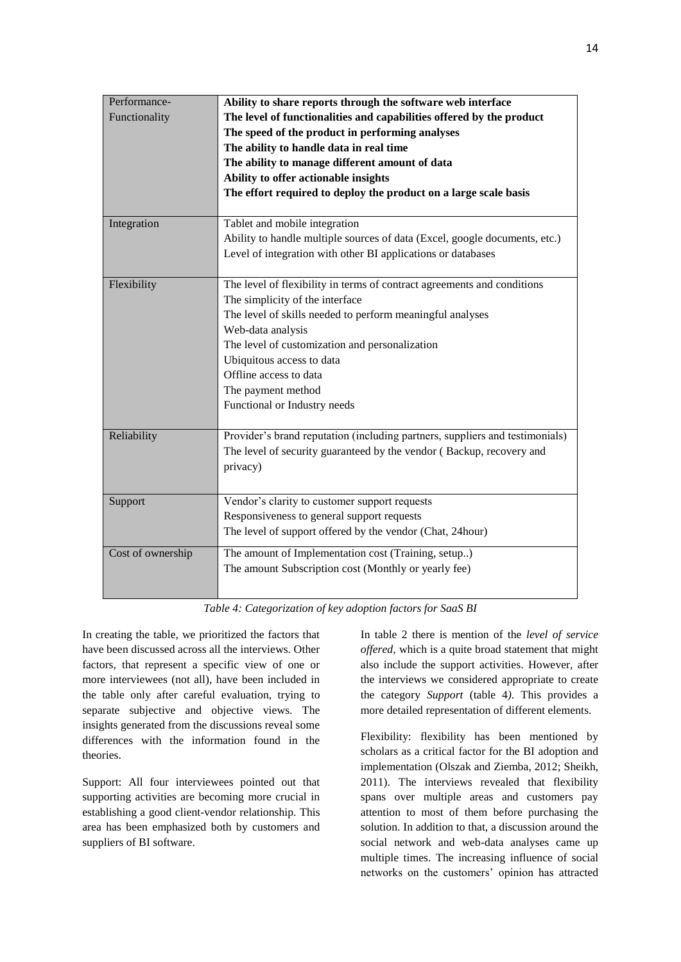| Performance-<br>Functionality | Ability to share reports through the software web interface<br>The level of functionalities and capabilities offered by the product<br>The speed of the product in performing analyses<br>The ability to handle data in real time<br>The ability to manage different amount of data<br>Ability to offer actionable insights                                 |  |
|-------------------------------|-------------------------------------------------------------------------------------------------------------------------------------------------------------------------------------------------------------------------------------------------------------------------------------------------------------------------------------------------------------|--|
|                               | The effort required to deploy the product on a large scale basis                                                                                                                                                                                                                                                                                            |  |
| Integration                   | Tablet and mobile integration<br>Ability to handle multiple sources of data (Excel, google documents, etc.)<br>Level of integration with other BI applications or databases                                                                                                                                                                                 |  |
| Flexibility                   | The level of flexibility in terms of contract agreements and conditions<br>The simplicity of the interface<br>The level of skills needed to perform meaningful analyses<br>Web-data analysis<br>The level of customization and personalization<br>Ubiquitous access to data<br>Offline access to data<br>The payment method<br>Functional or Industry needs |  |
| Reliability                   | Provider's brand reputation (including partners, suppliers and testimonials)<br>The level of security guaranteed by the vendor (Backup, recovery and<br>privacy)                                                                                                                                                                                            |  |
| Support                       | Vendor's clarity to customer support requests<br>Responsiveness to general support requests<br>The level of support offered by the vendor (Chat, 24hour)                                                                                                                                                                                                    |  |
| Cost of ownership             | The amount of Implementation cost (Training, setup)<br>The amount Subscription cost (Monthly or yearly fee)                                                                                                                                                                                                                                                 |  |

*Table 4: Categorization of key adoption factors for SaaS BI*

In creating the table, we prioritized the factors that have been discussed across all the interviews. Other factors, that represent a specific view of one or more interviewees (not all), have been included in the table only after careful evaluation, trying to separate subjective and objective views. The insights generated from the discussions reveal some differences with the information found in the theories.

Support: All four interviewees pointed out that supporting activities are becoming more crucial in establishing a good client-vendor relationship. This area has been emphasized both by customers and suppliers of BI software.

In table 2 there is mention of the *level of service offered,* which is a quite broad statement that might also include the support activities. However, after the interviews we considered appropriate to create the category *Support* (table 4*)*. This provides a more detailed representation of different elements.

Flexibility: flexibility has been mentioned by scholars as a critical factor for the BI adoption and implementation (Olszak and Ziemba, 2012; Sheikh, 2011). The interviews revealed that flexibility spans over multiple areas and customers pay attention to most of them before purchasing the solution. In addition to that, a discussion around the social network and web-data analyses came up multiple times. The increasing influence of social networks on the customers' opinion has attracted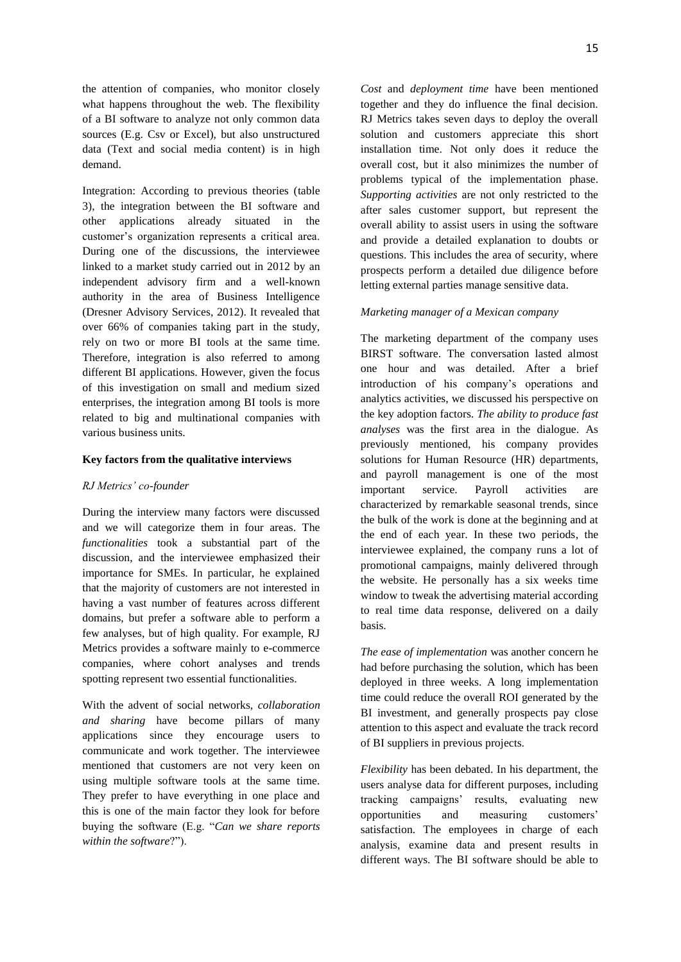the attention of companies, who monitor closely what happens throughout the web. The flexibility of a BI software to analyze not only common data sources (E.g. Csv or Excel), but also unstructured data (Text and social media content) is in high demand.

Integration: According to previous theories (table 3), the integration between the BI software and other applications already situated in the customer's organization represents a critical area. During one of the discussions, the interviewee linked to a market study carried out in 2012 by an independent advisory firm and a well-known authority in the area of Business Intelligence (Dresner Advisory Services, 2012). It revealed that over 66% of companies taking part in the study, rely on two or more BI tools at the same time. Therefore, integration is also referred to among different BI applications. However, given the focus of this investigation on small and medium sized enterprises, the integration among BI tools is more related to big and multinational companies with various business units.

## **Key factors from the qualitative interviews**

#### *RJ Metrics' co-founder*

During the interview many factors were discussed and we will categorize them in four areas. The *functionalities* took a substantial part of the discussion, and the interviewee emphasized their importance for SMEs. In particular, he explained that the majority of customers are not interested in having a vast number of features across different domains, but prefer a software able to perform a few analyses, but of high quality. For example, RJ Metrics provides a software mainly to e-commerce companies, where cohort analyses and trends spotting represent two essential functionalities.

With the advent of social networks, *collaboration and sharing* have become pillars of many applications since they encourage users to communicate and work together. The interviewee mentioned that customers are not very keen on using multiple software tools at the same time. They prefer to have everything in one place and this is one of the main factor they look for before buying the software (E.g. "*Can we share reports within the software*?").

*Cost* and *deployment time* have been mentioned together and they do influence the final decision. RJ Metrics takes seven days to deploy the overall solution and customers appreciate this short installation time. Not only does it reduce the overall cost, but it also minimizes the number of problems typical of the implementation phase. *Supporting activities* are not only restricted to the after sales customer support, but represent the overall ability to assist users in using the software and provide a detailed explanation to doubts or questions. This includes the area of security, where prospects perform a detailed due diligence before letting external parties manage sensitive data.

#### *Marketing manager of a Mexican company*

The marketing department of the company uses BIRST software. The conversation lasted almost one hour and was detailed. After a brief introduction of his company's operations and analytics activities, we discussed his perspective on the key adoption factors. *The ability to produce fast analyses* was the first area in the dialogue. As previously mentioned, his company provides solutions for Human Resource (HR) departments, and payroll management is one of the most important service. Payroll activities are characterized by remarkable seasonal trends, since the bulk of the work is done at the beginning and at the end of each year. In these two periods, the interviewee explained, the company runs a lot of promotional campaigns, mainly delivered through the website. He personally has a six weeks time window to tweak the advertising material according to real time data response, delivered on a daily basis.

*The ease of implementation* was another concern he had before purchasing the solution, which has been deployed in three weeks. A long implementation time could reduce the overall ROI generated by the BI investment, and generally prospects pay close attention to this aspect and evaluate the track record of BI suppliers in previous projects.

*Flexibility* has been debated. In his department, the users analyse data for different purposes, including tracking campaigns' results, evaluating new opportunities and measuring customers' satisfaction. The employees in charge of each analysis, examine data and present results in different ways. The BI software should be able to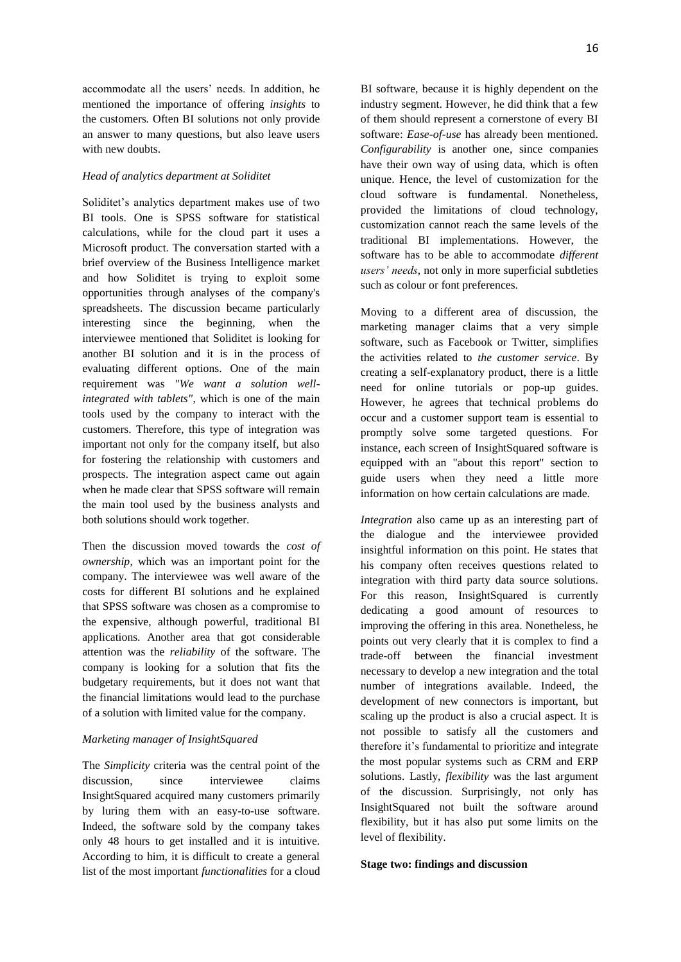accommodate all the users' needs. In addition, he mentioned the importance of offering *insights* to the customers*.* Often BI solutions not only provide an answer to many questions, but also leave users with new doubts.

#### *Head of analytics department at Soliditet*

Soliditet's analytics department makes use of two BI tools. One is SPSS software for statistical calculations, while for the cloud part it uses a Microsoft product. The conversation started with a brief overview of the Business Intelligence market and how Soliditet is trying to exploit some opportunities through analyses of the company's spreadsheets. The discussion became particularly interesting since the beginning, when the interviewee mentioned that Soliditet is looking for another BI solution and it is in the process of evaluating different options. One of the main requirement was *"We want a solution wellintegrated with tablets"*, which is one of the main tools used by the company to interact with the customers. Therefore, this type of integration was important not only for the company itself, but also for fostering the relationship with customers and prospects. The integration aspect came out again when he made clear that SPSS software will remain the main tool used by the business analysts and both solutions should work together.

Then the discussion moved towards the *cost of ownership*, which was an important point for the company. The interviewee was well aware of the costs for different BI solutions and he explained that SPSS software was chosen as a compromise to the expensive, although powerful, traditional BI applications. Another area that got considerable attention was the *reliability* of the software. The company is looking for a solution that fits the budgetary requirements, but it does not want that the financial limitations would lead to the purchase of a solution with limited value for the company.

#### *Marketing manager of InsightSquared*

The *Simplicity* criteria was the central point of the discussion, since interviewee claims InsightSquared acquired many customers primarily by luring them with an easy-to-use software. Indeed, the software sold by the company takes only 48 hours to get installed and it is intuitive. According to him, it is difficult to create a general list of the most important *functionalities* for a cloud BI software, because it is highly dependent on the industry segment. However, he did think that a few of them should represent a cornerstone of every BI software: *Ease-of-use* has already been mentioned. *Configurability* is another one, since companies have their own way of using data, which is often unique. Hence, the level of customization for the cloud software is fundamental. Nonetheless,

Moving to a different area of discussion, the marketing manager claims that a very simple software, such as Facebook or Twitter, simplifies the activities related to *the customer service*. By creating a self-explanatory product, there is a little need for online tutorials or pop-up guides. However, he agrees that technical problems do occur and a customer support team is essential to promptly solve some targeted questions. For instance, each screen of InsightSquared software is equipped with an "about this report" section to guide users when they need a little more information on how certain calculations are made.

provided the limitations of cloud technology, customization cannot reach the same levels of the traditional BI implementations. However, the software has to be able to accommodate *different users' needs*, not only in more superficial subtleties

such as colour or font preferences.

*Integration* also came up as an interesting part of the dialogue and the interviewee provided insightful information on this point. He states that his company often receives questions related to integration with third party data source solutions. For this reason, InsightSquared is currently dedicating a good amount of resources to improving the offering in this area. Nonetheless, he points out very clearly that it is complex to find a trade-off between the financial investment necessary to develop a new integration and the total number of integrations available. Indeed, the development of new connectors is important, but scaling up the product is also a crucial aspect. It is not possible to satisfy all the customers and therefore it's fundamental to prioritize and integrate the most popular systems such as CRM and ERP solutions. Lastly, *flexibility* was the last argument of the discussion. Surprisingly, not only has InsightSquared not built the software around flexibility, but it has also put some limits on the level of flexibility.

#### **Stage two: findings and discussion**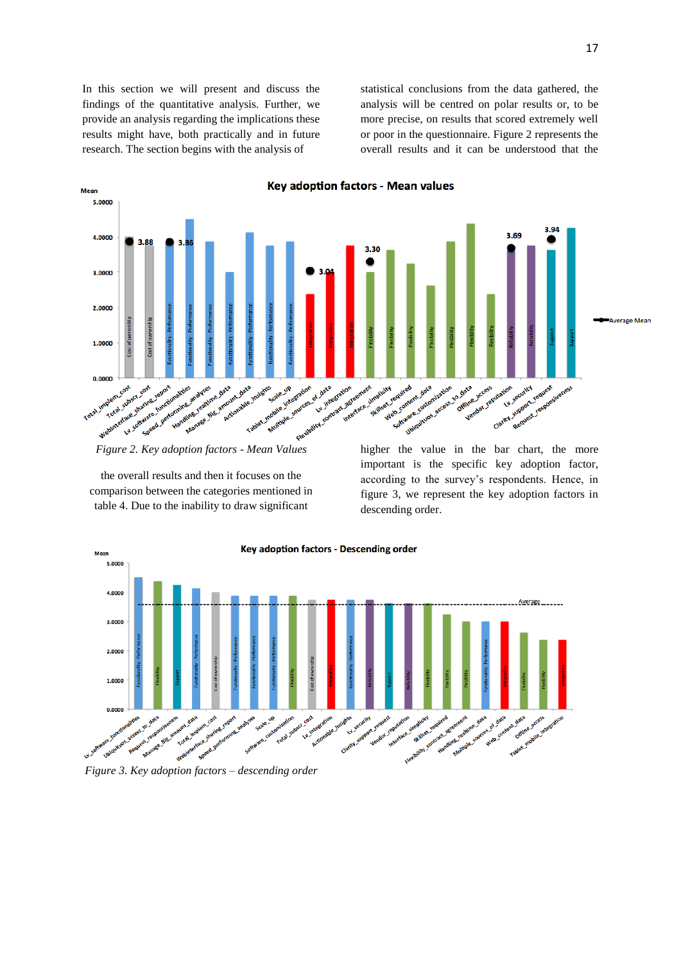In this section we will present and discuss the findings of the quantitative analysis. Further, we provide an analysis regarding the implications these results might have, both practically and in future research. The section begins with the analysis of

statistical conclusions from the data gathered, the analysis will be centred on polar results or, to be more precise, on results that scored extremely well or poor in the questionnaire. Figure 2 represents the overall results and it can be understood that the



*Figure 2. Key adoption factors - Mean Values*

the overall results and then it focuses on the comparison between the categories mentioned in table 4. Due to the inability to draw significant

important is the specific key adoption factor, according to the survey's respondents. Hence, in figure 3, we represent the key adoption factors in descending order.



*Figure 3. Key adoption factors – descending order*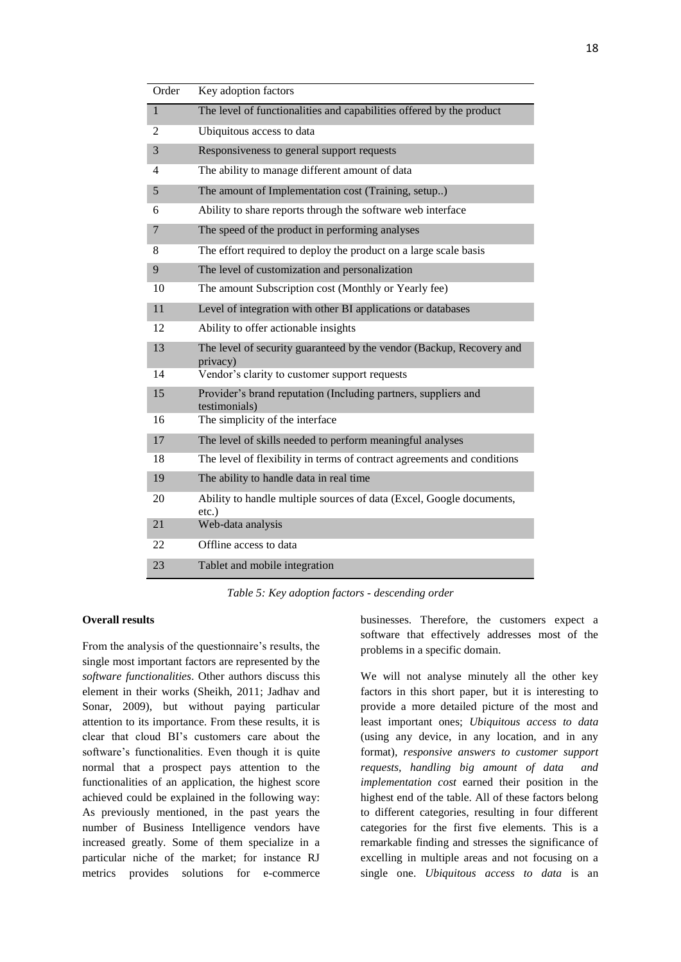| Order        | Key adoption factors                                                             |
|--------------|----------------------------------------------------------------------------------|
| $\mathbf{1}$ | The level of functionalities and capabilities offered by the product             |
| 2            | Ubiquitous access to data                                                        |
| 3            | Responsiveness to general support requests                                       |
| 4            | The ability to manage different amount of data                                   |
| 5            | The amount of Implementation cost (Training, setup)                              |
| 6            | Ability to share reports through the software web interface                      |
| 7            | The speed of the product in performing analyses                                  |
| 8            | The effort required to deploy the product on a large scale basis                 |
| 9            | The level of customization and personalization                                   |
| 10           | The amount Subscription cost (Monthly or Yearly fee)                             |
| 11           | Level of integration with other BI applications or databases                     |
| 12           | Ability to offer actionable insights                                             |
| 13           | The level of security guaranteed by the vendor (Backup, Recovery and<br>privacy) |
| 14           | Vendor's clarity to customer support requests                                    |
| 15           | Provider's brand reputation (Including partners, suppliers and<br>testimonials)  |
| 16           | The simplicity of the interface                                                  |
| 17           | The level of skills needed to perform meaningful analyses                        |
| 18           | The level of flexibility in terms of contract agreements and conditions          |
| 19           | The ability to handle data in real time                                          |
| 20           | Ability to handle multiple sources of data (Excel, Google documents,<br>$etc.$ ) |
| 21           | Web-data analysis                                                                |
| 22           | Offline access to data                                                           |
| 23           | Tablet and mobile integration                                                    |

*Table 5: Key adoption factors - descending order*

## **Overall results**

From the analysis of the questionnaire's results, the single most important factors are represented by the *software functionalities*. Other authors discuss this element in their works (Sheikh, 2011; Jadhav and Sonar, 2009), but without paying particular attention to its importance. From these results, it is clear that cloud BI's customers care about the software's functionalities. Even though it is quite normal that a prospect pays attention to the functionalities of an application, the highest score achieved could be explained in the following way: As previously mentioned, in the past years the number of Business Intelligence vendors have increased greatly. Some of them specialize in a particular niche of the market; for instance RJ metrics provides solutions for e-commerce

businesses. Therefore, the customers expect a software that effectively addresses most of the problems in a specific domain*.* 

We will not analyse minutely all the other key factors in this short paper, but it is interesting to provide a more detailed picture of the most and least important ones; *Ubiquitous access to data*  (using any device, in any location, and in any format)*, responsive answers to customer support requests, handling big amount of data and implementation cost* earned their position in the highest end of the table. All of these factors belong to different categories, resulting in four different categories for the first five elements. This is a remarkable finding and stresses the significance of excelling in multiple areas and not focusing on a single one. *Ubiquitous access to data* is an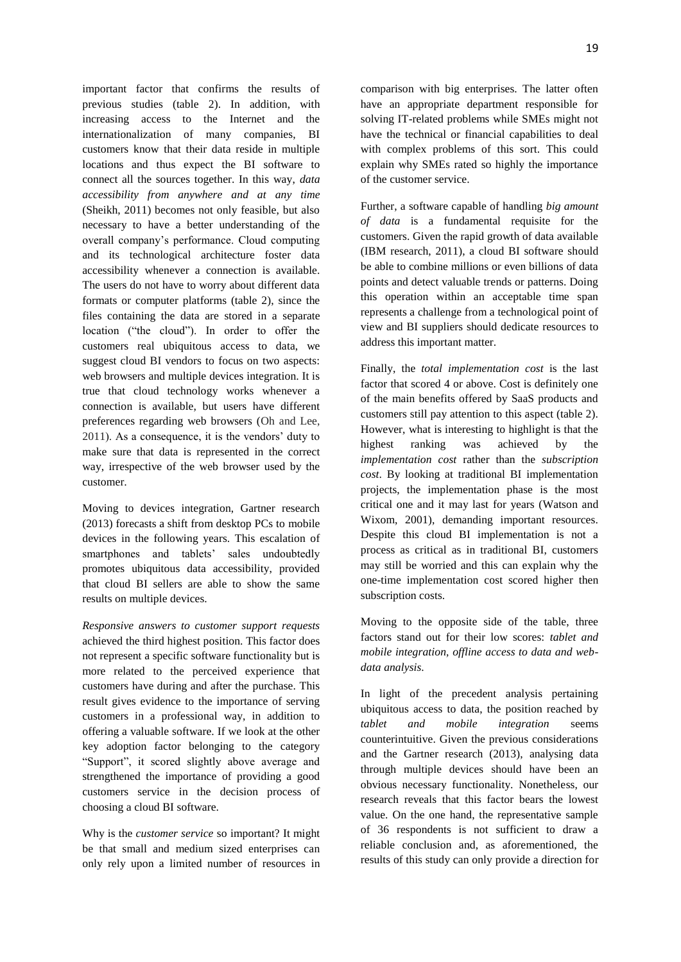important factor that confirms the results of previous studies (table 2). In addition, with increasing access to the Internet and the internationalization of many companies, BI customers know that their data reside in multiple locations and thus expect the BI software to connect all the sources together. In this way, *data accessibility from anywhere and at any time* (Sheikh, 2011) becomes not only feasible, but also necessary to have a better understanding of the overall company's performance. Cloud computing and its technological architecture foster data accessibility whenever a connection is available. The users do not have to worry about different data formats or computer platforms (table 2), since the files containing the data are stored in a separate location ("the cloud"). In order to offer the customers real ubiquitous access to data, we suggest cloud BI vendors to focus on two aspects: web browsers and multiple devices integration. It is true that cloud technology works whenever a connection is available, but users have different preferences regarding web browsers (Oh and Lee, 2011). As a consequence, it is the vendors' duty to make sure that data is represented in the correct way, irrespective of the web browser used by the customer.

Moving to devices integration, Gartner research (2013) forecasts a shift from desktop PCs to mobile devices in the following years. This escalation of smartphones and tablets' sales undoubtedly promotes ubiquitous data accessibility, provided that cloud BI sellers are able to show the same results on multiple devices.

*Responsive answers to customer support requests*  achieved the third highest position. This factor does not represent a specific software functionality but is more related to the perceived experience that customers have during and after the purchase. This result gives evidence to the importance of serving customers in a professional way, in addition to offering a valuable software. If we look at the other key adoption factor belonging to the category "Support", it scored slightly above average and strengthened the importance of providing a good customers service in the decision process of choosing a cloud BI software.

Why is the *customer service* so important? It might be that small and medium sized enterprises can only rely upon a limited number of resources in comparison with big enterprises. The latter often have an appropriate department responsible for solving IT-related problems while SMEs might not have the technical or financial capabilities to deal with complex problems of this sort. This could explain why SMEs rated so highly the importance of the customer service.

Further, a software capable of handling *big amount of data* is a fundamental requisite for the customers. Given the rapid growth of data available (IBM research, 2011), a cloud BI software should be able to combine millions or even billions of data points and detect valuable trends or patterns. Doing this operation within an acceptable time span represents a challenge from a technological point of view and BI suppliers should dedicate resources to address this important matter.

Finally, the *total implementation cost* is the last factor that scored 4 or above. Cost is definitely one of the main benefits offered by SaaS products and customers still pay attention to this aspect (table 2). However, what is interesting to highlight is that the highest ranking was achieved by the *implementation cost* rather than the *subscription cost*. By looking at traditional BI implementation projects, the implementation phase is the most critical one and it may last for years (Watson and Wixom, 2001), demanding important resources. Despite this cloud BI implementation is not a process as critical as in traditional BI, customers may still be worried and this can explain why the one-time implementation cost scored higher then subscription costs.

Moving to the opposite side of the table, three factors stand out for their low scores: *tablet and mobile integration, offline access to data and webdata analysis*.

In light of the precedent analysis pertaining ubiquitous access to data, the position reached by *tablet and mobile integration* seems counterintuitive. Given the previous considerations and the Gartner research (2013), analysing data through multiple devices should have been an obvious necessary functionality. Nonetheless, our research reveals that this factor bears the lowest value. On the one hand, the representative sample of 36 respondents is not sufficient to draw a reliable conclusion and, as aforementioned, the results of this study can only provide a direction for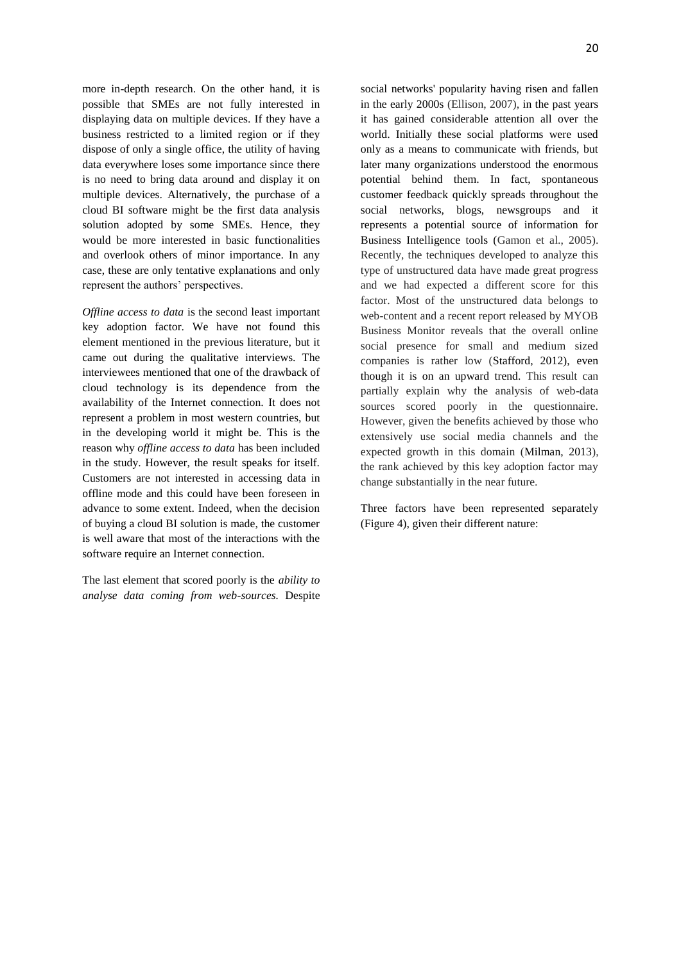more in-depth research. On the other hand, it is possible that SMEs are not fully interested in displaying data on multiple devices. If they have a business restricted to a limited region or if they dispose of only a single office, the utility of having data everywhere loses some importance since there is no need to bring data around and display it on multiple devices. Alternatively, the purchase of a cloud BI software might be the first data analysis solution adopted by some SMEs. Hence, they would be more interested in basic functionalities and overlook others of minor importance. In any case, these are only tentative explanations and only represent the authors' perspectives.

*Offline access to data* is the second least important key adoption factor. We have not found this element mentioned in the previous literature, but it came out during the qualitative interviews. The interviewees mentioned that one of the drawback of cloud technology is its dependence from the availability of the Internet connection. It does not represent a problem in most western countries, but in the developing world it might be. This is the reason why *offline access to data* has been included in the study. However, the result speaks for itself. Customers are not interested in accessing data in offline mode and this could have been foreseen in advance to some extent. Indeed, when the decision of buying a cloud BI solution is made, the customer is well aware that most of the interactions with the software require an Internet connection.

The last element that scored poorly is the *ability to analyse data coming from web-sources.* Despite social networks' popularity having risen and fallen in the early 2000s (Ellison, 2007), in the past years it has gained considerable attention all over the world. Initially these social platforms were used only as a means to communicate with friends, but later many organizations understood the enormous potential behind them. In fact, spontaneous customer feedback quickly spreads throughout the social networks, blogs, newsgroups and it represents a potential source of information for Business Intelligence tools (Gamon et al., 2005). Recently, the techniques developed to analyze this type of unstructured data have made great progress and we had expected a different score for this factor. Most of the unstructured data belongs to web-content and a recent report released by MYOB Business Monitor reveals that the overall online social presence for small and medium sized companies is rather low (Stafford, 2012), even though it is on an upward trend. This result can partially explain why the analysis of web-data sources scored poorly in the questionnaire. However, given the benefits achieved by those who extensively use social media channels and the expected growth in this domain (Milman, 2013), the rank achieved by this key adoption factor may change substantially in the near future.

Three factors have been represented separately (Figure 4), given their different nature: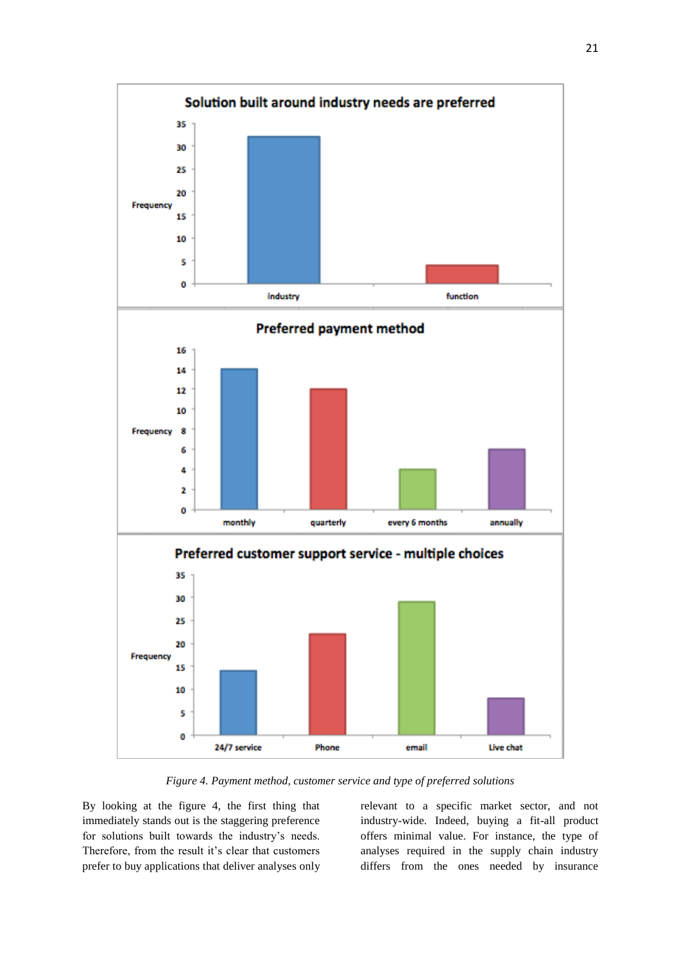

*Figure 4. Payment method, customer service and type of preferred solutions*

By looking at the figure 4, the first thing that immediately stands out is the staggering preference for solutions built towards the industry's needs. Therefore, from the result it's clear that customers prefer to buy applications that deliver analyses only relevant to a specific market sector, and not industry-wide. Indeed, buying a fit-all product offers minimal value. For instance, the type of analyses required in the supply chain industry differs from the ones needed by insurance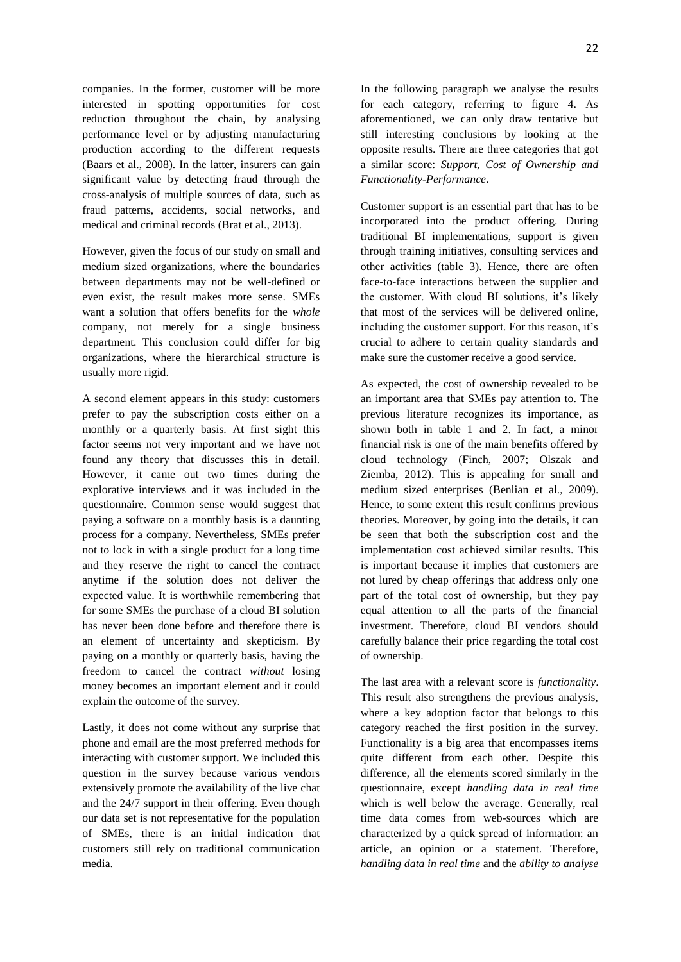companies. In the former, customer will be more interested in spotting opportunities for cost reduction throughout the chain, by analysing performance level or by adjusting manufacturing production according to the different requests (Baars et al., 2008). In the latter, insurers can gain significant value by detecting fraud through the cross-analysis of multiple sources of data, such as fraud patterns, accidents, social networks, and medical and criminal records (Brat et al., 2013).

However, given the focus of our study on small and medium sized organizations, where the boundaries between departments may not be well-defined or even exist, the result makes more sense. SMEs want a solution that offers benefits for the *whole* company, not merely for a single business department. This conclusion could differ for big organizations, where the hierarchical structure is usually more rigid.

A second element appears in this study: customers prefer to pay the subscription costs either on a monthly or a quarterly basis. At first sight this factor seems not very important and we have not found any theory that discusses this in detail. However, it came out two times during the explorative interviews and it was included in the questionnaire. Common sense would suggest that paying a software on a monthly basis is a daunting process for a company. Nevertheless, SMEs prefer not to lock in with a single product for a long time and they reserve the right to cancel the contract anytime if the solution does not deliver the expected value. It is worthwhile remembering that for some SMEs the purchase of a cloud BI solution has never been done before and therefore there is an element of uncertainty and skepticism. By paying on a monthly or quarterly basis, having the freedom to cancel the contract *without* losing money becomes an important element and it could explain the outcome of the survey.

Lastly, it does not come without any surprise that phone and email are the most preferred methods for interacting with customer support. We included this question in the survey because various vendors extensively promote the availability of the live chat and the 24/7 support in their offering. Even though our data set is not representative for the population of SMEs, there is an initial indication that customers still rely on traditional communication media.

In the following paragraph we analyse the results for each category, referring to figure 4. As aforementioned, we can only draw tentative but still interesting conclusions by looking at the opposite results. There are three categories that got a similar score: *Support, Cost of Ownership and Functionality-Performance*.

Customer support is an essential part that has to be incorporated into the product offering. During traditional BI implementations, support is given through training initiatives, consulting services and other activities (table 3). Hence, there are often face-to-face interactions between the supplier and the customer. With cloud BI solutions, it's likely that most of the services will be delivered online, including the customer support. For this reason, it's crucial to adhere to certain quality standards and make sure the customer receive a good service.

As expected, the cost of ownership revealed to be an important area that SMEs pay attention to. The previous literature recognizes its importance, as shown both in table 1 and 2. In fact, a minor financial risk is one of the main benefits offered by cloud technology (Finch, 2007; Olszak and Ziemba, 2012). This is appealing for small and medium sized enterprises (Benlian et al., 2009). Hence, to some extent this result confirms previous theories. Moreover, by going into the details, it can be seen that both the subscription cost and the implementation cost achieved similar results. This is important because it implies that customers are not lured by cheap offerings that address only one part of the total cost of ownership**,** but they pay equal attention to all the parts of the financial investment. Therefore, cloud BI vendors should carefully balance their price regarding the total cost of ownership.

The last area with a relevant score is *functionality*. This result also strengthens the previous analysis, where a key adoption factor that belongs to this category reached the first position in the survey. Functionality is a big area that encompasses items quite different from each other. Despite this difference, all the elements scored similarly in the questionnaire, except *handling data in real time*  which is well below the average. Generally, real time data comes from web-sources which are characterized by a quick spread of information: an article, an opinion or a statement. Therefore, *handling data in real time* and the *ability to analyse*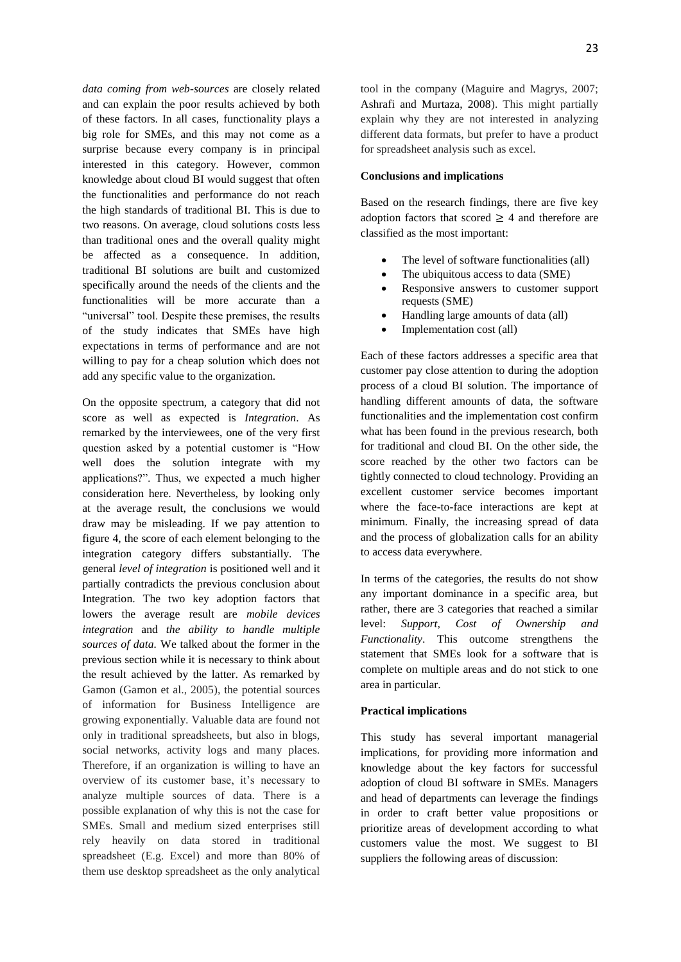*data coming from web-sources* are closely related and can explain the poor results achieved by both of these factors. In all cases, functionality plays a big role for SMEs, and this may not come as a surprise because every company is in principal interested in this category. However, common knowledge about cloud BI would suggest that often the functionalities and performance do not reach the high standards of traditional BI. This is due to two reasons. On average, cloud solutions costs less than traditional ones and the overall quality might be affected as a consequence. In addition, traditional BI solutions are built and customized specifically around the needs of the clients and the functionalities will be more accurate than a "universal" tool. Despite these premises, the results of the study indicates that SMEs have high expectations in terms of performance and are not willing to pay for a cheap solution which does not add any specific value to the organization.

On the opposite spectrum, a category that did not score as well as expected is *Integration*. As remarked by the interviewees, one of the very first question asked by a potential customer is "How well does the solution integrate with my applications?". Thus, we expected a much higher consideration here. Nevertheless, by looking only at the average result, the conclusions we would draw may be misleading. If we pay attention to figure 4, the score of each element belonging to the integration category differs substantially. The general *level of integration* is positioned well and it partially contradicts the previous conclusion about Integration. The two key adoption factors that lowers the average result are *mobile devices integration* and *the ability to handle multiple sources of data.* We talked about the former in the previous section while it is necessary to think about the result achieved by the latter. As remarked by Gamon (Gamon et al., 2005), the potential sources of information for Business Intelligence are growing exponentially. Valuable data are found not only in traditional spreadsheets, but also in blogs, social networks, activity logs and many places. Therefore, if an organization is willing to have an overview of its customer base, it's necessary to analyze multiple sources of data. There is a possible explanation of why this is not the case for SMEs. Small and medium sized enterprises still rely heavily on data stored in traditional spreadsheet (E.g. Excel) and more than 80% of them use desktop spreadsheet as the only analytical

tool in the company (Maguire and Magrys, 2007; Ashrafi and Murtaza, 2008). This might partially explain why they are not interested in analyzing different data formats, but prefer to have a product for spreadsheet analysis such as excel.

#### **Conclusions and implications**

Based on the research findings, there are five key adoption factors that scored  $\geq$  4 and therefore are classified as the most important:

- The level of software functionalities (all)
- The ubiquitous access to data (SME)
- Responsive answers to customer support requests (SME)
- Handling large amounts of data (all)
- Implementation cost (all)

Each of these factors addresses a specific area that customer pay close attention to during the adoption process of a cloud BI solution. The importance of handling different amounts of data, the software functionalities and the implementation cost confirm what has been found in the previous research, both for traditional and cloud BI. On the other side, the score reached by the other two factors can be tightly connected to cloud technology. Providing an excellent customer service becomes important where the face-to-face interactions are kept at minimum. Finally, the increasing spread of data and the process of globalization calls for an ability to access data everywhere.

In terms of the categories, the results do not show any important dominance in a specific area, but rather, there are 3 categories that reached a similar level: *Support, Cost of Ownership and Functionality*. This outcome strengthens the statement that SMEs look for a software that is complete on multiple areas and do not stick to one area in particular.

#### **Practical implications**

This study has several important managerial implications, for providing more information and knowledge about the key factors for successful adoption of cloud BI software in SMEs. Managers and head of departments can leverage the findings in order to craft better value propositions or prioritize areas of development according to what customers value the most. We suggest to BI suppliers the following areas of discussion: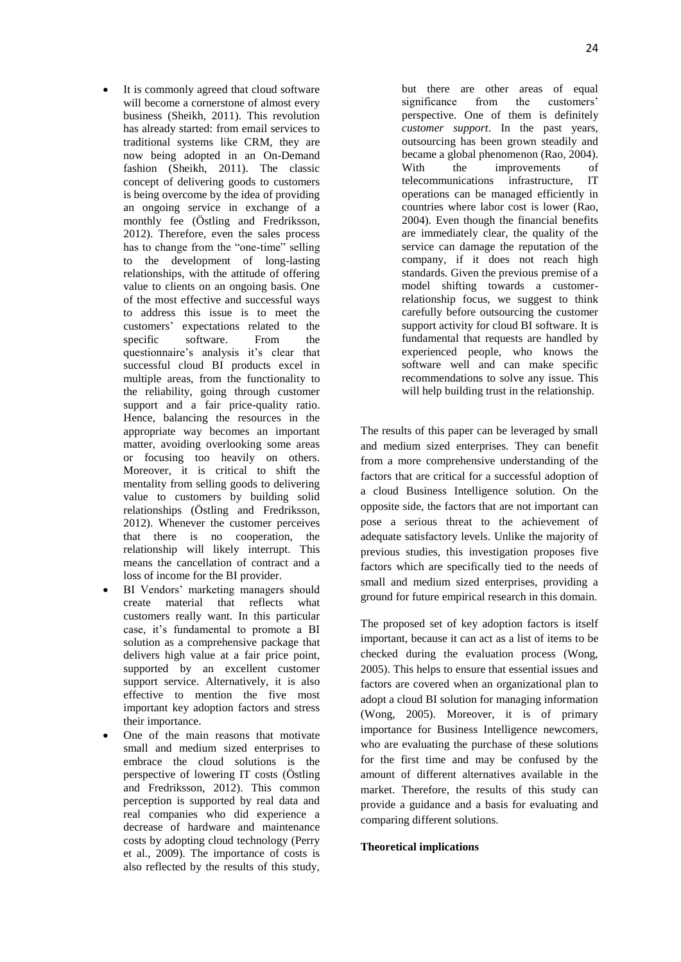- It is commonly agreed that cloud software will become a cornerstone of almost every business (Sheikh, 2011). This revolution has already started: from email services to traditional systems like CRM, they are now being adopted in an On-Demand fashion (Sheikh, 2011). The classic concept of delivering goods to customers is being overcome by the idea of providing an ongoing service in exchange of a monthly fee (Östling and Fredriksson, 2012). Therefore, even the sales process has to change from the "one-time" selling to the development of long-lasting relationships, with the attitude of offering value to clients on an ongoing basis. One of the most effective and successful ways to address this issue is to meet the customers' expectations related to the specific software. From the questionnaire's analysis it's clear that successful cloud BI products excel in multiple areas, from the functionality to the reliability, going through customer support and a fair price-quality ratio. Hence, balancing the resources in the appropriate way becomes an important matter, avoiding overlooking some areas or focusing too heavily on others. Moreover, it is critical to shift the mentality from selling goods to delivering value to customers by building solid relationships (Östling and Fredriksson, 2012). Whenever the customer perceives that there is no cooperation, the relationship will likely interrupt. This means the cancellation of contract and a loss of income for the BI provider.
- BI Vendors' marketing managers should create material that reflects what customers really want. In this particular case, it's fundamental to promote a BI solution as a comprehensive package that delivers high value at a fair price point, supported by an excellent customer support service. Alternatively, it is also effective to mention the five most important key adoption factors and stress their importance.
- One of the main reasons that motivate small and medium sized enterprises to embrace the cloud solutions is the perspective of lowering IT costs (Östling and Fredriksson, 2012). This common perception is supported by real data and real companies who did experience a decrease of hardware and maintenance costs by adopting cloud technology (Perry et al., 2009). The importance of costs is also reflected by the results of this study,

but there are other areas of equal significance from the customers' perspective. One of them is definitely *customer support*. In the past years, outsourcing has been grown steadily and became a global phenomenon (Rao, 2004). With the improvements of telecommunications infrastructure, IT operations can be managed efficiently in countries where labor cost is lower (Rao, 2004). Even though the financial benefits are immediately clear, the quality of the service can damage the reputation of the company, if it does not reach high standards. Given the previous premise of a model shifting towards a customerrelationship focus, we suggest to think carefully before outsourcing the customer support activity for cloud BI software. It is fundamental that requests are handled by experienced people, who knows the software well and can make specific recommendations to solve any issue. This will help building trust in the relationship.

The results of this paper can be leveraged by small and medium sized enterprises. They can benefit from a more comprehensive understanding of the factors that are critical for a successful adoption of a cloud Business Intelligence solution. On the opposite side, the factors that are not important can pose a serious threat to the achievement of adequate satisfactory levels. Unlike the majority of previous studies, this investigation proposes five factors which are specifically tied to the needs of small and medium sized enterprises, providing a ground for future empirical research in this domain.

The proposed set of key adoption factors is itself important, because it can act as a list of items to be checked during the evaluation process (Wong, 2005). This helps to ensure that essential issues and factors are covered when an organizational plan to adopt a cloud BI solution for managing information (Wong, 2005). Moreover, it is of primary importance for Business Intelligence newcomers, who are evaluating the purchase of these solutions for the first time and may be confused by the amount of different alternatives available in the market. Therefore, the results of this study can provide a guidance and a basis for evaluating and comparing different solutions.

## **Theoretical implications**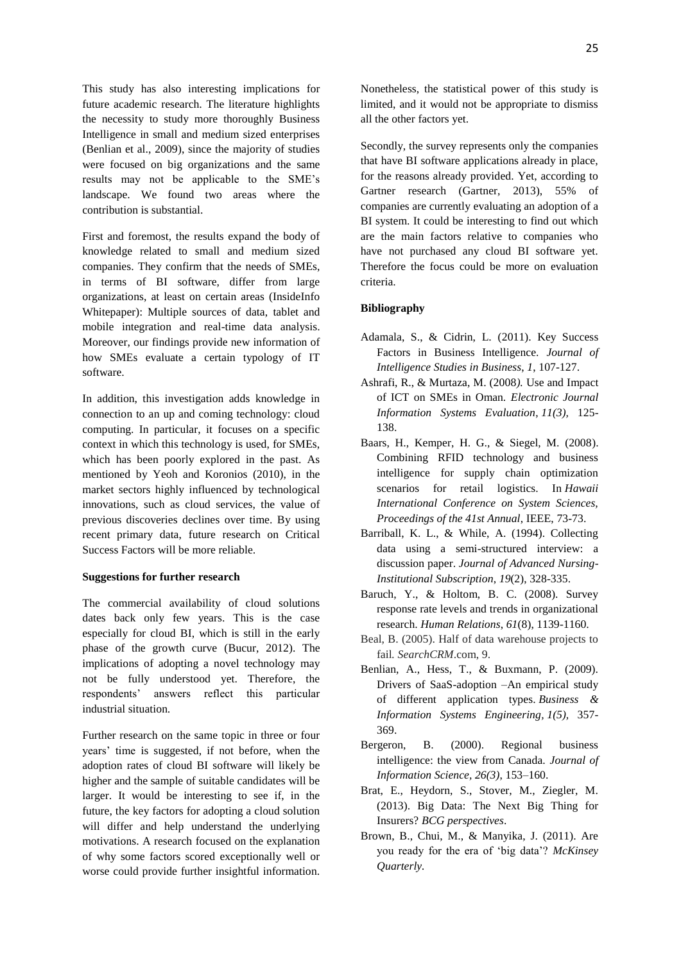This study has also interesting implications for future academic research. The literature highlights the necessity to study more thoroughly Business Intelligence in small and medium sized enterprises (Benlian et al., 2009), since the majority of studies were focused on big organizations and the same results may not be applicable to the SME's landscape. We found two areas where the contribution is substantial.

First and foremost, the results expand the body of knowledge related to small and medium sized companies. They confirm that the needs of SMEs, in terms of BI software, differ from large organizations, at least on certain areas (InsideInfo Whitepaper): Multiple sources of data, tablet and mobile integration and real-time data analysis. Moreover, our findings provide new information of how SMEs evaluate a certain typology of IT software.

In addition, this investigation adds knowledge in connection to an up and coming technology: cloud computing. In particular, it focuses on a specific context in which this technology is used, for SMEs, which has been poorly explored in the past. As mentioned by Yeoh and Koronios (2010), in the market sectors highly influenced by technological innovations, such as cloud services, the value of previous discoveries declines over time. By using recent primary data, future research on Critical Success Factors will be more reliable.

#### **Suggestions for further research**

The commercial availability of cloud solutions dates back only few years. This is the case especially for cloud BI, which is still in the early phase of the growth curve (Bucur, 2012). The implications of adopting a novel technology may not be fully understood yet. Therefore, the respondents' answers reflect this particular industrial situation*.*

Further research on the same topic in three or four years' time is suggested, if not before, when the adoption rates of cloud BI software will likely be higher and the sample of suitable candidates will be larger. It would be interesting to see if, in the future, the key factors for adopting a cloud solution will differ and help understand the underlying motivations. A research focused on the explanation of why some factors scored exceptionally well or worse could provide further insightful information.

Nonetheless, the statistical power of this study is limited, and it would not be appropriate to dismiss all the other factors yet.

Secondly, the survey represents only the companies that have BI software applications already in place, for the reasons already provided. Yet, according to Gartner research (Gartner, 2013), 55% of companies are currently evaluating an adoption of a BI system. It could be interesting to find out which are the main factors relative to companies who have not purchased any cloud BI software yet. Therefore the focus could be more on evaluation criteria.

## **Bibliography**

- Adamala, S., & Cidrin, L. (2011). Key Success Factors in Business Intelligence. *Journal of Intelligence Studies in Business*, *1*, 107-127.
- Ashrafi, R., & Murtaza, M. (2008*).* Use and Impact of ICT on SMEs in Oman. *Electronic Journal Information Systems Evaluation*, *11(3),* 125- 138.
- Baars, H., Kemper, H. G., & Siegel, M. (2008). Combining RFID technology and business intelligence for supply chain optimization scenarios for retail logistics. In *Hawaii International Conference on System Sciences, Proceedings of the 41st Annual*, IEEE, 73-73.
- Barriball, K. L., & While, A. (1994). Collecting data using a semi-structured interview: a discussion paper. *Journal of Advanced Nursing-Institutional Subscription*, *19*(2), 328-335.
- Baruch, Y., & Holtom, B. C. (2008). Survey response rate levels and trends in organizational research. *Human Relations*, *61*(8), 1139-1160.
- Beal, B. (2005). Half of data warehouse projects to fail*. SearchCRM*.com, 9.
- Benlian, A., Hess, T., & Buxmann, P. (2009). Drivers of SaaS-adoption –An empirical study of different application types. *Business & Information Systems Engineering, 1(5),* 357- 369.
- Bergeron, B. (2000). Regional business intelligence: the view from Canada. *Journal of Information Science, 26(3)*, 153–160.
- Brat, E., Heydorn, S., Stover, M., Ziegler, M. (2013). Big Data: The Next Big Thing for Insurers? *BCG perspectives*.
- Brown, B., Chui, M., & Manyika, J. (2011). Are you ready for the era of 'big data'? *McKinsey Quarterly.*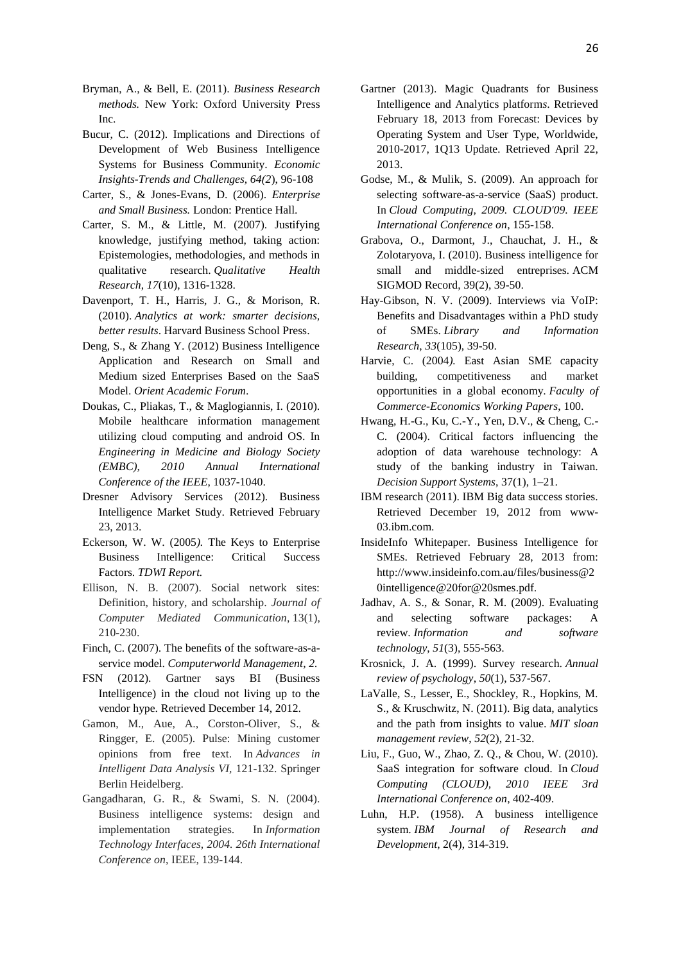- Bryman, A., & Bell, E. (2011). *Business Research methods.* New York: Oxford University Press Inc.
- Bucur, C. (2012). Implications and Directions of Development of Web Business Intelligence Systems for Business Community. *Economic Insights-Trends and Challenges, 64(2*), 96-108
- Carter, S., & Jones-Evans, D. (2006). *Enterprise and Small Business.* London: Prentice Hall.
- Carter, S. M., & Little, M. (2007). Justifying knowledge, justifying method, taking action: Epistemologies, methodologies, and methods in qualitative research. *Qualitative Health Research*, *17*(10), 1316-1328.
- Davenport, T. H., Harris, J. G., & Morison, R. (2010). *Analytics at work: smarter decisions, better results*. Harvard Business School Press.
- Deng, S., & Zhang Y. (2012) Business Intelligence Application and Research on Small and Medium sized Enterprises Based on the SaaS Model. *Orient Academic Forum*.
- Doukas, C., Pliakas, T., & Maglogiannis, I. (2010). Mobile healthcare information management utilizing cloud computing and android OS. In *Engineering in Medicine and Biology Society (EMBC), 2010 Annual International Conference of the IEEE*, 1037-1040.
- Dresner Advisory Services (2012). Business Intelligence Market Study. Retrieved February 23, 2013.
- Eckerson, W. W. (2005*).* The Keys to Enterprise Business Intelligence: Critical Success Factors. *TDWI Report.*
- Ellison, N. B. (2007). Social network sites: Definition, history, and scholarship. *Journal of Computer Mediated Communication*, 13(1), 210-230.
- Finch, C. (2007). The benefits of the software-as-aservice model. *Computerworld Management*, *2.*
- FSN (2012). Gartner says BI (Business Intelligence) in the cloud not living up to the vendor hype. Retrieved December 14, 2012.
- Gamon, M., Aue, A., Corston-Oliver, S., & Ringger, E. (2005). Pulse: Mining customer opinions from free text. In *Advances in Intelligent Data Analysis VI,* 121-132. Springer Berlin Heidelberg.
- Gangadharan, G. R., & Swami, S. N. (2004). Business intelligence systems: design and implementation strategies. In *Information Technology Interfaces, 2004. 26th International Conference on*, IEEE, 139-144.
- Gartner (2013). Magic Quadrants for Business Intelligence and Analytics platform*s*. Retrieved February 18, 2013 from Forecast: Devices by Operating System and User Type, Worldwide, 2010-2017, 1Q13 Update*.* Retrieved April 22, 2013.
- Godse, M., & Mulik, S. (2009). An approach for selecting software-as-a-service (SaaS) product. In *Cloud Computing, 2009. CLOUD'09. IEEE International Conference on*, 155-158.
- Grabova, O., Darmont, J., Chauchat, J. H., & Zolotaryova, I. (2010). Business intelligence for small and middle-sized entreprises. ACM SIGMOD Record, 39(2), 39-50.
- Hay-Gibson, N. V. (2009). Interviews via VoIP: Benefits and Disadvantages within a PhD study of SMEs. *Library and Information Research*, *33*(105), 39-50.
- Harvie, C. (2004*).* East Asian SME capacity building, competitiveness and market opportunities in a global economy. *Faculty of Commerce-Economics Working Papers*, 100.
- Hwang, H.-G., Ku, C.-Y., Yen, D.V., & Cheng, C.- C. (2004). Critical factors influencing the adoption of data warehouse technology: A study of the banking industry in Taiwan. *Decision Support Systems*, 37(1), 1–21.
- IBM research (2011). IBM Big data success stories. Retrieved December 19, 2012 from www-03.ibm.com.
- InsideInfo Whitepaper. Business Intelligence for SMEs. Retrieved February 28, 2013 from: http://www.insideinfo.com.au/files/business@2 0intelligence@20for@20smes.pdf.
- Jadhav, A. S., & Sonar, R. M. (2009). Evaluating and selecting software packages: A review. *Information and software technology*, *51*(3), 555-563.
- Krosnick, J. A. (1999). Survey research. *Annual review of psychology*, *50*(1), 537-567.
- LaValle, S., Lesser, E., Shockley, R., Hopkins, M. S., & Kruschwitz, N. (2011). Big data, analytics and the path from insights to value. *MIT sloan management review*, *52*(2), 21-32.
- Liu, F., Guo, W., Zhao, Z. Q., & Chou, W. (2010). SaaS integration for software cloud. In *Cloud Computing (CLOUD), 2010 IEEE 3rd International Conference on*, 402-409.
- [Luhn,](http://dl.acm.org/author_page.cfm?id=81448597418&coll=DL&dl=ACM&trk=0&cfid=233152406&cftoken=65440257) H.P. (1958). A business intelligence system. *IBM Journal of Research and Development*, 2(4), 314-319.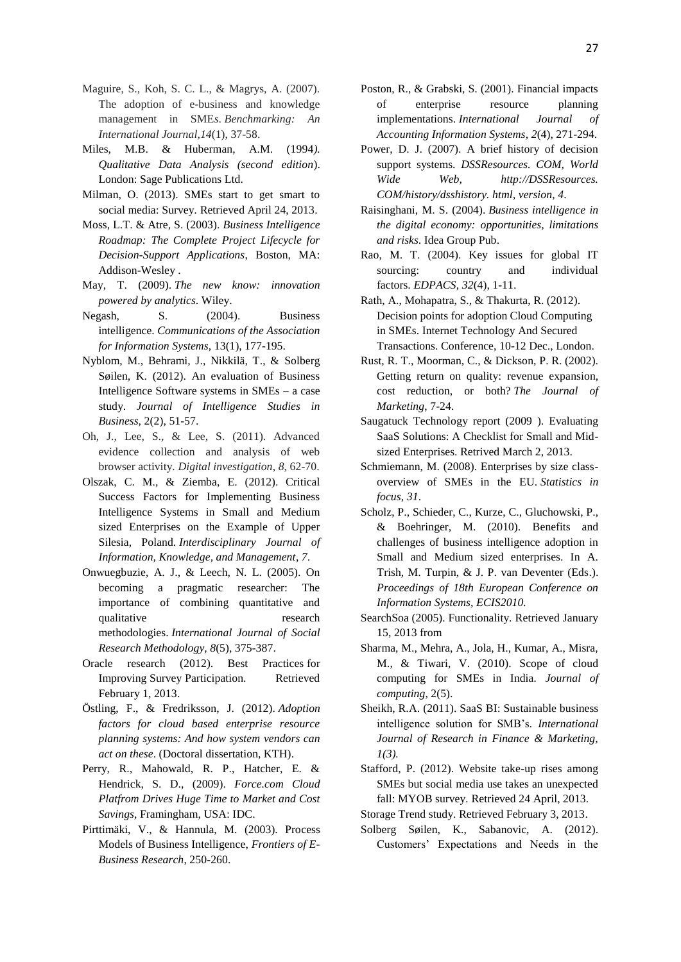- Maguire, S., Koh, S. C. L., & Magrys, A. (2007). The adoption of e-business and knowledge management in SME*s*. *Benchmarking: An International Journal*,*14*(1), 37-58.
- Miles, M.B. & Huberman, A.M. (1994*). Qualitative Data Analysis (second edition*). London: Sage Publications Ltd.
- Milman, O. (2013). SMEs start to get smart to social media: Survey*.* Retrieved April 24, 2013.
- Moss, L.T. & Atre, S. (2003). *Business Intelligence Roadmap: The Complete Project Lifecycle for Decision-Support Applications*, Boston, MA: Addison-Wesley .
- May, T. (2009). *The new know: innovation powered by analytics*. Wiley.
- Negash, S. (2004). Business intelligence. *Communications of the Association for Information Systems*, 13(1), 177-195.
- Nyblom, M., Behrami, J., Nikkilä, T., & Solberg Søilen, K. (2012). An evaluation of Business Intelligence Software systems in SMEs – a case study. *Journal of Intelligence Studies in Business,* 2(2), 51-57.
- Oh, J., Lee, S., & Lee, S. (2011). Advanced evidence collection and analysis of web browser activity. *Digital investigation*, *8*, 62-70.
- Olszak, C. M., & Ziemba, E. (2012). Critical Success Factors for Implementing Business Intelligence Systems in Small and Medium sized Enterprises on the Example of Upper Silesia, Poland. *Interdisciplinary Journal of Information, Knowledge, and Management*, *7*.
- Onwuegbuzie, A. J., & Leech, N. L. (2005). On becoming a pragmatic researcher: The importance of combining quantitative and qualitative research methodologies. *International Journal of Social Research Methodology*, *8*(5), 375-387.
- Oracle research (2012). Best Practices for Improving Survey Participation. Retrieved February 1, 2013.
- Östling, F., & Fredriksson, J. (2012). *Adoption factors for cloud based enterprise resource planning systems: And how system vendors can act on these*. (Doctoral dissertation, KTH).
- Perry, R., Mahowald, R. P., Hatcher, E. & Hendrick, S. D., (2009). *Force.com Cloud Platfrom Drives Huge Time to Market and Cost Savings*, Framingham, USA: IDC.
- Pirttimäki, V., & Hannula, M. (2003). Process Models of Business Intelligence, *Frontiers of E-Business Research*, 250-260.
- Poston, R., & Grabski, S. (2001). Financial impacts of enterprise resource planning implementations. *International Journal of Accounting Information Systems*, *2*(4), 271-294.
- Power, D. J. (2007). A brief history of decision support systems. *DSSResources. COM, World Wide Web, http://DSSResources. COM/history/dsshistory. html, version*, *4*.
- Raisinghani, M. S. (2004). *Business intelligence in the digital economy: opportunities, limitations and risks*. Idea Group Pub.
- Rao, M. T. (2004). Key issues for global IT sourcing: country and individual factors. *EDPACS*, *32*(4), 1-11.
- Rath, A., Mohapatra, S., & Thakurta, R. (2012). Decision points for adoption Cloud Computing in SMEs. Internet Technology And Secured Transactions. Conference, 10-12 Dec., London.
- Rust, R. T., Moorman, C., & Dickson, P. R. (2002). Getting return on quality: revenue expansion, cost reduction, or both? *The Journal of Marketing*, 7-24.
- Saugatuck Technology report (2009 ). Evaluating SaaS Solutions: A Checklist for Small and Midsized Enterprises. Retrived March 2, 2013.
- Schmiemann, M. (2008). Enterprises by size classoverview of SMEs in the EU. *Statistics in focus*, *31*.
- Scholz, P., Schieder, C., Kurze, C., Gluchowski, P., & Boehringer, M. (2010). Benefits and challenges of business intelligence adoption in Small and Medium sized enterprises. In A. Trish, M. Turpin, & J. P. van Deventer (Eds.). *Proceedings of 18th European Conference on Information Systems, ECIS2010.*
- SearchSoa (2005). Functionality. Retrieved January 15, 2013 from
- Sharma, M., Mehra, A., Jola, H., Kumar, A., Misra, M., & Tiwari, V. (2010). Scope of cloud computing for SMEs in India*. Journal of computing*, 2(5).
- Sheikh, R.A. (2011). SaaS BI: Sustainable business intelligence solution for SMB's*. International Journal of Research in Finance & Marketing, 1(3).*
- Stafford, P. (2012). Website take-up rises among SMEs but social media use takes an unexpected fall: MYOB survey*.* Retrieved 24 April, 2013.
- Storage Trend study. Retrieved February 3, 2013.
- Solberg Søilen, K., Sabanovic, A. (2012). Customers' Expectations and Needs in the